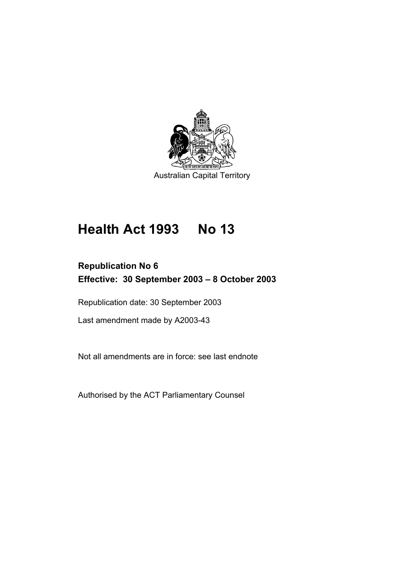

# **Health Act 1993 No 13**

# **Republication No 6 Effective: 30 September 2003 – 8 October 2003**

Republication date: 30 September 2003

Last amendment made by A2003-43

Not all amendments are in force: see last endnote

Authorised by the ACT Parliamentary Counsel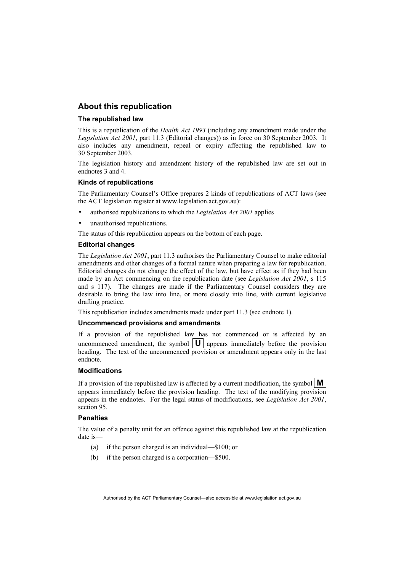### **About this republication**

#### **The republished law**

This is a republication of the *Health Act 1993* (including any amendment made under the *Legislation Act 2001*, part 11.3 (Editorial changes)) as in force on 30 September 2003*.* It also includes any amendment, repeal or expiry affecting the republished law to 30 September 2003.

The legislation history and amendment history of the republished law are set out in endnotes 3 and 4.

#### **Kinds of republications**

The Parliamentary Counsel's Office prepares 2 kinds of republications of ACT laws (see the ACT legislation register at www.legislation.act.gov.au):

- authorised republications to which the *Legislation Act 2001* applies
- unauthorised republications.

The status of this republication appears on the bottom of each page.

#### **Editorial changes**

The *Legislation Act 2001*, part 11.3 authorises the Parliamentary Counsel to make editorial amendments and other changes of a formal nature when preparing a law for republication. Editorial changes do not change the effect of the law, but have effect as if they had been made by an Act commencing on the republication date (see *Legislation Act 2001*, s 115 and s 117). The changes are made if the Parliamentary Counsel considers they are desirable to bring the law into line, or more closely into line, with current legislative drafting practice.

This republication includes amendments made under part 11.3 (see endnote 1).

#### **Uncommenced provisions and amendments**

If a provision of the republished law has not commenced or is affected by an uncommenced amendment, the symbol  $\|\mathbf{U}\|$  appears immediately before the provision heading. The text of the uncommenced provision or amendment appears only in the last endnote.

#### **Modifications**

If a provision of the republished law is affected by a current modification, the symbol  $\mathbf{M}$ appears immediately before the provision heading. The text of the modifying provision appears in the endnotes. For the legal status of modifications, see *Legislation Act 2001*, section 95.

#### **Penalties**

The value of a penalty unit for an offence against this republished law at the republication date is—

- (a) if the person charged is an individual—\$100; or
- (b) if the person charged is a corporation—\$500.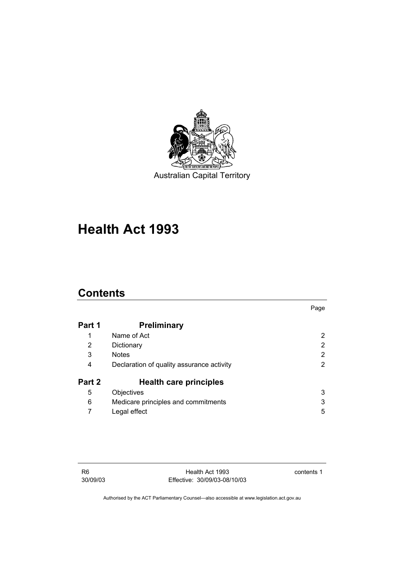

# **Health Act 1993**

# **Contents**

|        |                                           | Page |
|--------|-------------------------------------------|------|
| Part 1 | <b>Preliminary</b>                        |      |
|        | Name of Act                               | 2    |
| 2      | Dictionary                                | 2    |
| 3      | <b>Notes</b>                              | 2    |
| 4      | Declaration of quality assurance activity | 2    |
| Part 2 | <b>Health care principles</b>             |      |
| 5      | Objectives                                | 3    |
| 6      | Medicare principles and commitments       | 3    |
|        | Legal effect                              | 5    |

contents 1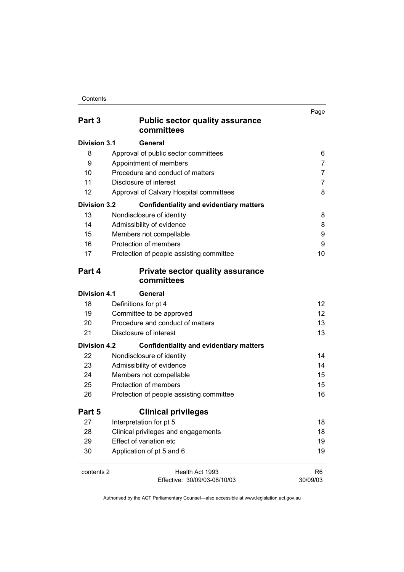| Part 3              | <b>Public sector quality assurance</b><br>committees  | Page                |
|---------------------|-------------------------------------------------------|---------------------|
| <b>Division 3.1</b> | General                                               |                     |
| 8                   | Approval of public sector committees                  | 6                   |
| 9                   | Appointment of members                                | 7                   |
| 10                  | Procedure and conduct of matters                      | $\overline{7}$      |
| 11<br>12            | Disclosure of interest                                | $\overline{7}$<br>8 |
|                     | Approval of Calvary Hospital committees               |                     |
| <b>Division 3.2</b> | <b>Confidentiality and evidentiary matters</b>        |                     |
| 13                  | Nondisclosure of identity                             | 8                   |
| 14                  | Admissibility of evidence                             | 8                   |
| 15                  | Members not compellable                               | 9                   |
| 16                  | Protection of members                                 | 9                   |
| 17                  | Protection of people assisting committee              | 10                  |
| Part 4              | <b>Private sector quality assurance</b><br>committees |                     |
| <b>Division 4.1</b> | General                                               |                     |
| 18                  | Definitions for pt 4                                  | 12 <sup>°</sup>     |
| 19                  | Committee to be approved                              | 12 <sup>2</sup>     |
| 20                  | Procedure and conduct of matters                      | 13                  |
| 21                  | Disclosure of interest                                | 13                  |
| <b>Division 4.2</b> | <b>Confidentiality and evidentiary matters</b>        |                     |
| 22                  | Nondisclosure of identity                             | 14                  |
| 23                  | Admissibility of evidence                             | 14                  |
| 24                  | Members not compellable                               | 15                  |
| 25                  | Protection of members                                 | 15                  |
| 26                  | Protection of people assisting committee              | 16                  |
| Part 5              | <b>Clinical privileges</b>                            |                     |
| 27                  | Interpretation for pt 5                               | 18                  |
| 28                  | Clinical privileges and engagements                   | 18                  |
| 29                  | Effect of variation etc                               | 19                  |
| 30                  | Application of pt 5 and 6                             | 19                  |
| contents 2          | Health Act 1993                                       | R <sub>6</sub>      |

Authorised by the ACT Parliamentary Counsel—also accessible at www.legislation.act.gov.au

30/09/03

Effective: 30/09/03-08/10/03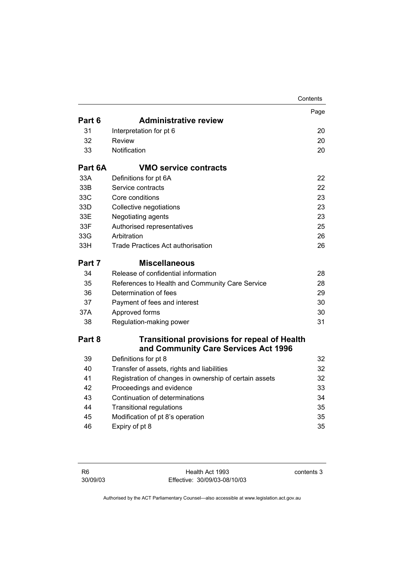|         |                                                        | Contents |
|---------|--------------------------------------------------------|----------|
|         |                                                        | Page     |
| Part 6  | <b>Administrative review</b>                           |          |
| 31      | Interpretation for pt 6                                | 20       |
| 32      | Review                                                 | 20       |
| 33      | Notification                                           | 20       |
| Part 6A | <b>VMO service contracts</b>                           |          |
| 33A     | Definitions for pt 6A                                  | 22       |
| 33B     | Service contracts                                      | 22       |
| 33C     | Core conditions                                        | 23       |
| 33D     | Collective negotiations                                | 23       |
| 33E     | Negotiating agents                                     | 23       |
| 33F     | Authorised representatives                             | 25       |
| 33G     | Arbitration                                            | 26       |
| 33H     | Trade Practices Act authorisation                      | 26       |
| Part 7  | <b>Miscellaneous</b>                                   |          |
| 34      | Release of confidential information                    | 28       |
| 35      | References to Health and Community Care Service        | 28       |
| 36      | Determination of fees                                  | 29       |
| 37      | Payment of fees and interest                           | 30       |
| 37A     | Approved forms                                         | 30       |
| 38      | Regulation-making power                                | 31       |
| Part 8  | <b>Transitional provisions for repeal of Health</b>    |          |
|         | and Community Care Services Act 1996                   |          |
| 39      | Definitions for pt 8                                   | 32       |
| 40      | Transfer of assets, rights and liabilities             | 32       |
| 41      | Registration of changes in ownership of certain assets | 32       |
| 42      | Proceedings and evidence                               | 33       |
| 43      | Continuation of determinations                         | 34       |
| 44      | <b>Transitional regulations</b>                        | 35       |
| 45      | Modification of pt 8's operation                       | 35       |
| 46      | Expiry of pt 8                                         | 35       |

contents 3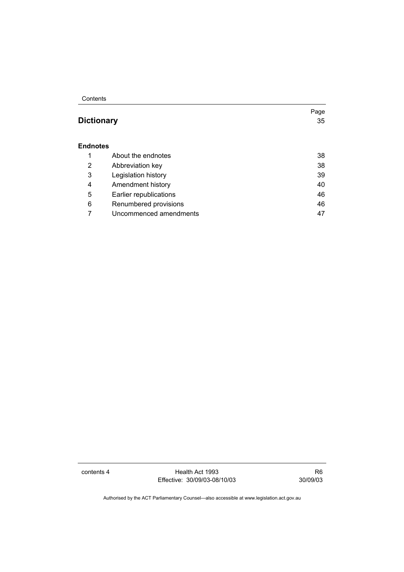Contents

# **Dictionary** 35

#### **Endnotes**

|   | About the endnotes     | 38 |
|---|------------------------|----|
| 2 | Abbreviation key       | 38 |
| 3 | Legislation history    | 39 |
| 4 | Amendment history      | 40 |
| 5 | Earlier republications | 46 |
| 6 | Renumbered provisions  | 46 |
|   | Uncommenced amendments | 47 |

contents 4 Health Act 1993 Effective: 30/09/03-08/10/03 Page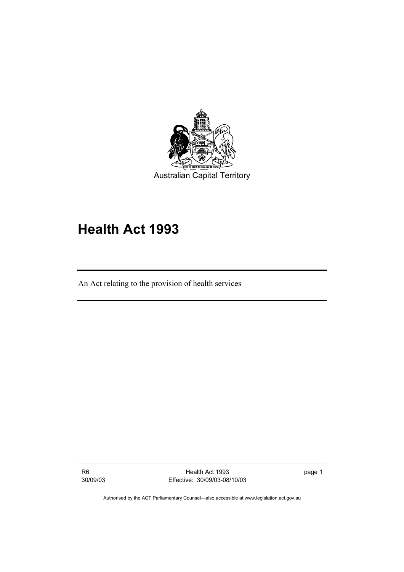

# **Health Act 1993**

An Act relating to the provision of health services

R6 30/09/03

Health Act 1993 Effective: 30/09/03-08/10/03 page 1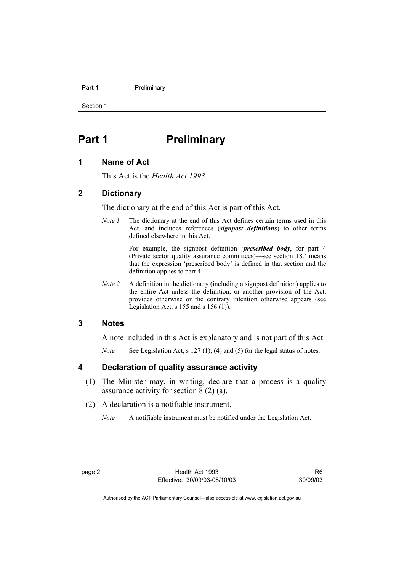#### **Part 1** Preliminary

Section 1

# **Part 1** Preliminary

# **1 Name of Act**

This Act is the *Health Act 1993*.

# **2 Dictionary**

The dictionary at the end of this Act is part of this Act.

*Note 1* The dictionary at the end of this Act defines certain terms used in this Act, and includes references (*signpost definitions*) to other terms defined elsewhere in this Act.

> For example, the signpost definition '*prescribed body*, for part 4 (Private sector quality assurance committees)—see section 18.' means that the expression 'prescribed body' is defined in that section and the definition applies to part 4.

*Note 2* A definition in the dictionary (including a signpost definition) applies to the entire Act unless the definition, or another provision of the Act, provides otherwise or the contrary intention otherwise appears (see Legislation Act,  $s$  155 and  $s$  156 (1)).

# **3 Notes**

A note included in this Act is explanatory and is not part of this Act.

*Note* See Legislation Act, s 127 (1), (4) and (5) for the legal status of notes.

### **4 Declaration of quality assurance activity**

- (1) The Minister may, in writing, declare that a process is a quality assurance activity for section 8 (2) (a).
- (2) A declaration is a notifiable instrument.
	- *Note* A notifiable instrument must be notified under the Legislation Act.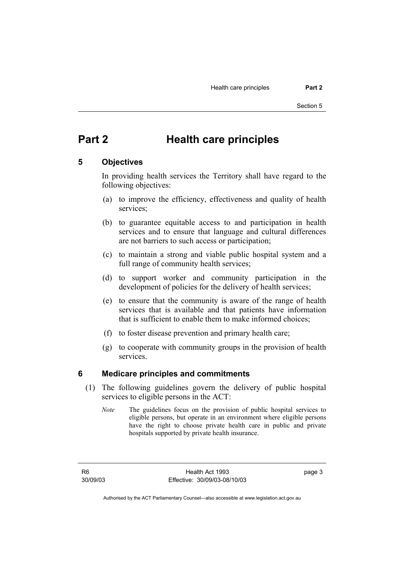# **Part 2 Health care principles**

### **5 Objectives**

In providing health services the Territory shall have regard to the following objectives:

- (a) to improve the efficiency, effectiveness and quality of health services;
- (b) to guarantee equitable access to and participation in health services and to ensure that language and cultural differences are not barriers to such access or participation;
- (c) to maintain a strong and viable public hospital system and a full range of community health services;
- (d) to support worker and community participation in the development of policies for the delivery of health services;
- (e) to ensure that the community is aware of the range of health services that is available and that patients have information that is sufficient to enable them to make informed choices;
- (f) to foster disease prevention and primary health care;
- (g) to cooperate with community groups in the provision of health services.

#### **6 Medicare principles and commitments**

- (1) The following guidelines govern the delivery of public hospital services to eligible persons in the ACT:
	- *Note* The guidelines focus on the provision of public hospital services to eligible persons, but operate in an environment where eligible persons have the right to choose private health care in public and private hospitals supported by private health insurance.

R6 30/09/03 page 3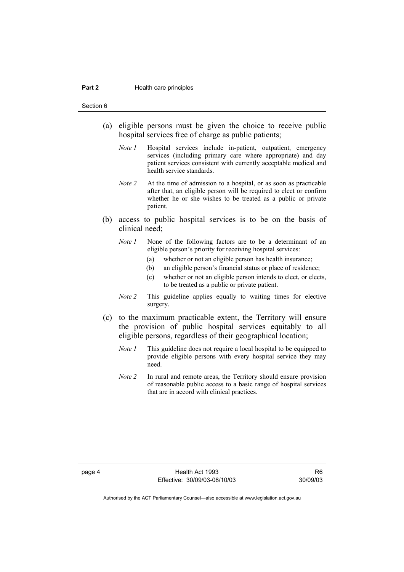#### **Part 2 Health care principles**

Section 6

- (a) eligible persons must be given the choice to receive public hospital services free of charge as public patients;
	- *Note 1* Hospital services include in-patient, outpatient, emergency services (including primary care where appropriate) and day patient services consistent with currently acceptable medical and health service standards.
	- *Note 2* At the time of admission to a hospital, or as soon as practicable after that, an eligible person will be required to elect or confirm whether he or she wishes to be treated as a public or private patient.
- (b) access to public hospital services is to be on the basis of clinical need;
	- *Note 1* None of the following factors are to be a determinant of an eligible person's priority for receiving hospital services:
		- (a) whether or not an eligible person has health insurance;
		- (b) an eligible person's financial status or place of residence;
		- (c) whether or not an eligible person intends to elect, or elects, to be treated as a public or private patient.
	- *Note 2* This guideline applies equally to waiting times for elective surgery.
- (c) to the maximum practicable extent, the Territory will ensure the provision of public hospital services equitably to all eligible persons, regardless of their geographical location;
	- *Note 1* This guideline does not require a local hospital to be equipped to provide eligible persons with every hospital service they may need.
	- *Note 2* In rural and remote areas, the Territory should ensure provision of reasonable public access to a basic range of hospital services that are in accord with clinical practices.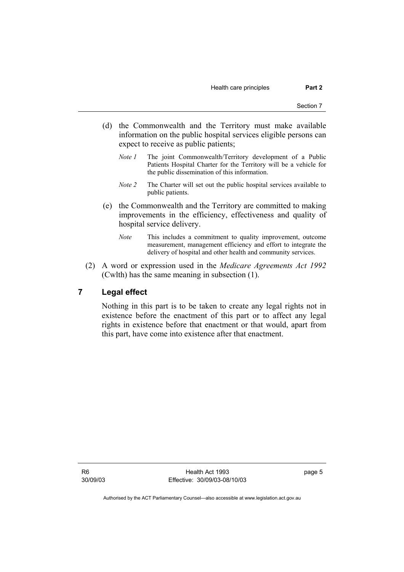Health care principles **Part 2** 

- (d) the Commonwealth and the Territory must make available information on the public hospital services eligible persons can expect to receive as public patients;
	- *Note 1* The joint Commonwealth/Territory development of a Public Patients Hospital Charter for the Territory will be a vehicle for the public dissemination of this information.
	- *Note 2* The Charter will set out the public hospital services available to public patients.
- (e) the Commonwealth and the Territory are committed to making improvements in the efficiency, effectiveness and quality of hospital service delivery.
	- *Note* This includes a commitment to quality improvement, outcome measurement, management efficiency and effort to integrate the delivery of hospital and other health and community services.
- (2) A word or expression used in the *Medicare Agreements Act 1992* (Cwlth) has the same meaning in subsection (1).

# **7 Legal effect**

Nothing in this part is to be taken to create any legal rights not in existence before the enactment of this part or to affect any legal rights in existence before that enactment or that would, apart from this part, have come into existence after that enactment.

R6 30/09/03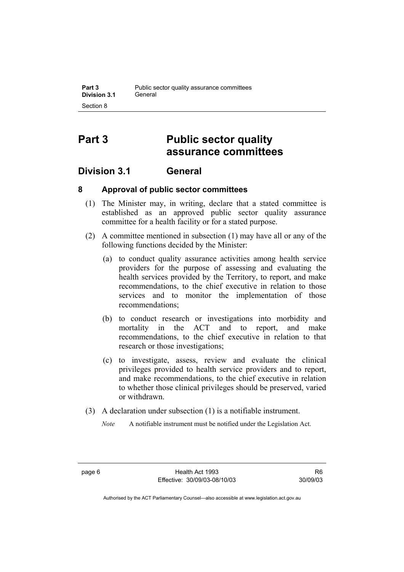# **Part 3 Public sector quality assurance committees**

# **Division 3.1 General**

# **8 Approval of public sector committees**

- (1) The Minister may, in writing, declare that a stated committee is established as an approved public sector quality assurance committee for a health facility or for a stated purpose.
- (2) A committee mentioned in subsection (1) may have all or any of the following functions decided by the Minister:
	- (a) to conduct quality assurance activities among health service providers for the purpose of assessing and evaluating the health services provided by the Territory, to report, and make recommendations, to the chief executive in relation to those services and to monitor the implementation of those recommendations;
	- (b) to conduct research or investigations into morbidity and mortality in the ACT and to report, and make recommendations, to the chief executive in relation to that research or those investigations;
	- (c) to investigate, assess, review and evaluate the clinical privileges provided to health service providers and to report, and make recommendations, to the chief executive in relation to whether those clinical privileges should be preserved, varied or withdrawn.
- (3) A declaration under subsection (1) is a notifiable instrument.
	- *Note* A notifiable instrument must be notified under the Legislation Act.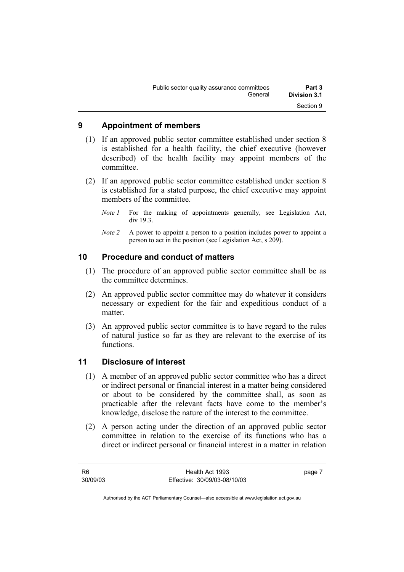| Public sector quality assurance committees | Part 3       |
|--------------------------------------------|--------------|
| General                                    | Division 3.1 |
|                                            | Section 9    |

# **9 Appointment of members**

- (1) If an approved public sector committee established under section 8 is established for a health facility, the chief executive (however described) of the health facility may appoint members of the committee.
- (2) If an approved public sector committee established under section 8 is established for a stated purpose, the chief executive may appoint members of the committee.
	- *Note 1* For the making of appointments generally, see Legislation Act, div 19.3.
	- *Note 2* A power to appoint a person to a position includes power to appoint a person to act in the position (see Legislation Act, s 209).

# **10 Procedure and conduct of matters**

- (1) The procedure of an approved public sector committee shall be as the committee determines.
- (2) An approved public sector committee may do whatever it considers necessary or expedient for the fair and expeditious conduct of a matter.
- (3) An approved public sector committee is to have regard to the rules of natural justice so far as they are relevant to the exercise of its functions.

### **11 Disclosure of interest**

- (1) A member of an approved public sector committee who has a direct or indirect personal or financial interest in a matter being considered or about to be considered by the committee shall, as soon as practicable after the relevant facts have come to the member's knowledge, disclose the nature of the interest to the committee.
- (2) A person acting under the direction of an approved public sector committee in relation to the exercise of its functions who has a direct or indirect personal or financial interest in a matter in relation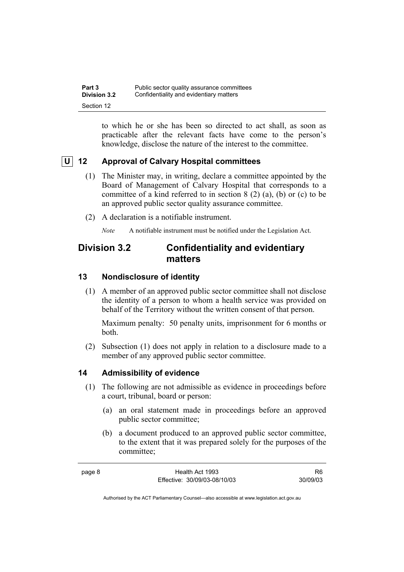| Part 3              | Public sector quality assurance committees |
|---------------------|--------------------------------------------|
| <b>Division 3.2</b> | Confidentiality and evidentiary matters    |
| Section 12          |                                            |

to which he or she has been so directed to act shall, as soon as practicable after the relevant facts have come to the person's knowledge, disclose the nature of the interest to the committee.

# **U** 12 Approval of Calvary Hospital committees

- (1) The Minister may, in writing, declare a committee appointed by the Board of Management of Calvary Hospital that corresponds to a committee of a kind referred to in section 8 (2) (a), (b) or (c) to be an approved public sector quality assurance committee.
- (2) A declaration is a notifiable instrument.

*Note* A notifiable instrument must be notified under the Legislation Act.

# **Division 3.2 Confidentiality and evidentiary matters**

# **13 Nondisclosure of identity**

 (1) A member of an approved public sector committee shall not disclose the identity of a person to whom a health service was provided on behalf of the Territory without the written consent of that person.

Maximum penalty: 50 penalty units, imprisonment for 6 months or both.

 (2) Subsection (1) does not apply in relation to a disclosure made to a member of any approved public sector committee.

# **14 Admissibility of evidence**

- (1) The following are not admissible as evidence in proceedings before a court, tribunal, board or person:
	- (a) an oral statement made in proceedings before an approved public sector committee;
	- (b) a document produced to an approved public sector committee, to the extent that it was prepared solely for the purposes of the committee;

R6 30/09/03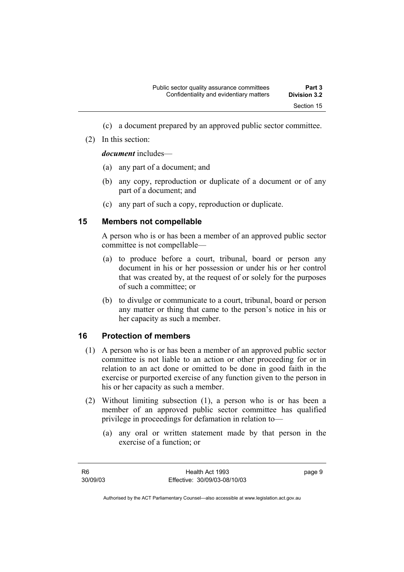- (c) a document prepared by an approved public sector committee.
- (2) In this section:

#### *document* includes—

- (a) any part of a document; and
- (b) any copy, reproduction or duplicate of a document or of any part of a document; and
- (c) any part of such a copy, reproduction or duplicate.

# **15 Members not compellable**

A person who is or has been a member of an approved public sector committee is not compellable—

- (a) to produce before a court, tribunal, board or person any document in his or her possession or under his or her control that was created by, at the request of or solely for the purposes of such a committee; or
- (b) to divulge or communicate to a court, tribunal, board or person any matter or thing that came to the person's notice in his or her capacity as such a member.

### **16 Protection of members**

- (1) A person who is or has been a member of an approved public sector committee is not liable to an action or other proceeding for or in relation to an act done or omitted to be done in good faith in the exercise or purported exercise of any function given to the person in his or her capacity as such a member.
- (2) Without limiting subsection (1), a person who is or has been a member of an approved public sector committee has qualified privilege in proceedings for defamation in relation to—
	- (a) any oral or written statement made by that person in the exercise of a function; or

page 9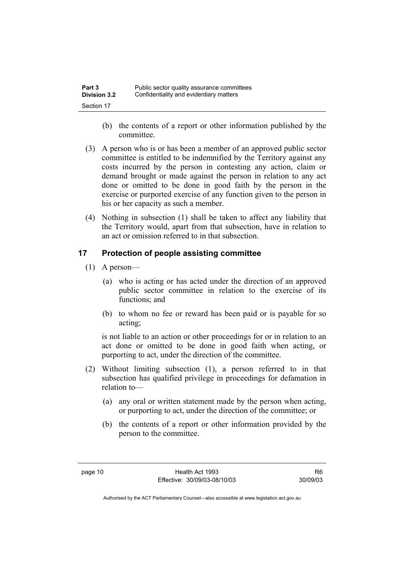| Part 3              | Public sector quality assurance committees |
|---------------------|--------------------------------------------|
| <b>Division 3.2</b> | Confidentiality and evidentiary matters    |
| Section 17          |                                            |

- (b) the contents of a report or other information published by the committee.
- (3) A person who is or has been a member of an approved public sector committee is entitled to be indemnified by the Territory against any costs incurred by the person in contesting any action, claim or demand brought or made against the person in relation to any act done or omitted to be done in good faith by the person in the exercise or purported exercise of any function given to the person in his or her capacity as such a member.
- (4) Nothing in subsection (1) shall be taken to affect any liability that the Territory would, apart from that subsection, have in relation to an act or omission referred to in that subsection.

# **17 Protection of people assisting committee**

- (1) A person—
	- (a) who is acting or has acted under the direction of an approved public sector committee in relation to the exercise of its functions; and
	- (b) to whom no fee or reward has been paid or is payable for so acting;

is not liable to an action or other proceedings for or in relation to an act done or omitted to be done in good faith when acting, or purporting to act, under the direction of the committee.

- (2) Without limiting subsection (1), a person referred to in that subsection has qualified privilege in proceedings for defamation in relation to—
	- (a) any oral or written statement made by the person when acting, or purporting to act, under the direction of the committee; or
	- (b) the contents of a report or other information provided by the person to the committee.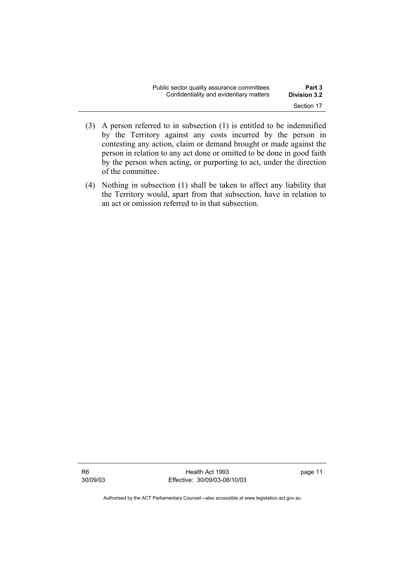| Public sector quality assurance committees | Part 3              |
|--------------------------------------------|---------------------|
| Confidentiality and evidentiary matters    | <b>Division 3.2</b> |
|                                            | Section 17          |

- (3) A person referred to in subsection (1) is entitled to be indemnified by the Territory against any costs incurred by the person in contesting any action, claim or demand brought or made against the person in relation to any act done or omitted to be done in good faith by the person when acting, or purporting to act, under the direction of the committee.
- (4) Nothing in subsection (1) shall be taken to affect any liability that the Territory would, apart from that subsection, have in relation to an act or omission referred to in that subsection.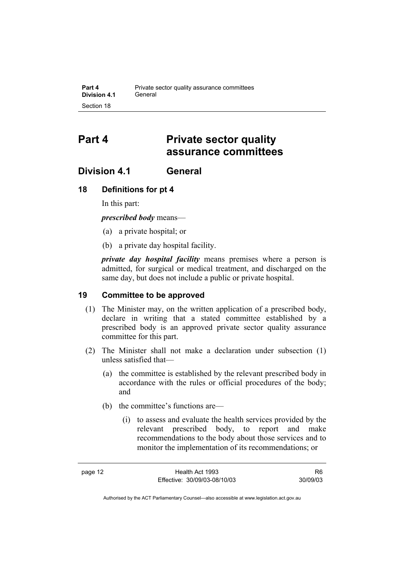# **Part 4 Private sector quality assurance committees**

# **Division 4.1 General**

# **18 Definitions for pt 4**

In this part:

*prescribed body* means—

- (a) a private hospital; or
- (b) a private day hospital facility.

*private day hospital facility* means premises where a person is admitted, for surgical or medical treatment, and discharged on the same day, but does not include a public or private hospital.

### **19 Committee to be approved**

- (1) The Minister may, on the written application of a prescribed body, declare in writing that a stated committee established by a prescribed body is an approved private sector quality assurance committee for this part.
- (2) The Minister shall not make a declaration under subsection (1) unless satisfied that—
	- (a) the committee is established by the relevant prescribed body in accordance with the rules or official procedures of the body; and
	- (b) the committee's functions are—
		- (i) to assess and evaluate the health services provided by the relevant prescribed body, to report and make recommendations to the body about those services and to monitor the implementation of its recommendations; or

R6 30/09/03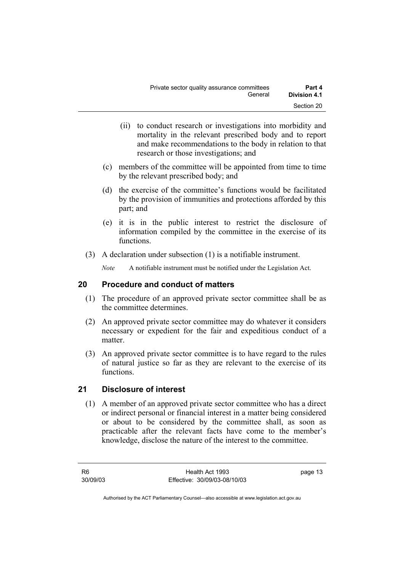- (ii) to conduct research or investigations into morbidity and mortality in the relevant prescribed body and to report and make recommendations to the body in relation to that research or those investigations; and
- (c) members of the committee will be appointed from time to time by the relevant prescribed body; and
- (d) the exercise of the committee's functions would be facilitated by the provision of immunities and protections afforded by this part; and
- (e) it is in the public interest to restrict the disclosure of information compiled by the committee in the exercise of its functions.
- (3) A declaration under subsection (1) is a notifiable instrument.

*Note* A notifiable instrument must be notified under the Legislation Act.

# **20 Procedure and conduct of matters**

- (1) The procedure of an approved private sector committee shall be as the committee determines.
- (2) An approved private sector committee may do whatever it considers necessary or expedient for the fair and expeditious conduct of a matter.
- (3) An approved private sector committee is to have regard to the rules of natural justice so far as they are relevant to the exercise of its functions.

# **21 Disclosure of interest**

 (1) A member of an approved private sector committee who has a direct or indirect personal or financial interest in a matter being considered or about to be considered by the committee shall, as soon as practicable after the relevant facts have come to the member's knowledge, disclose the nature of the interest to the committee.

page 13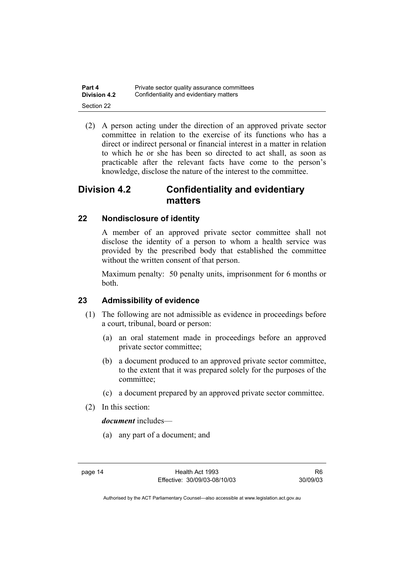| Part 4              | Private sector quality assurance committees |
|---------------------|---------------------------------------------|
| <b>Division 4.2</b> | Confidentiality and evidentiary matters     |
| Section 22          |                                             |

 (2) A person acting under the direction of an approved private sector committee in relation to the exercise of its functions who has a direct or indirect personal or financial interest in a matter in relation to which he or she has been so directed to act shall, as soon as practicable after the relevant facts have come to the person's knowledge, disclose the nature of the interest to the committee.

# **Division 4.2 Confidentiality and evidentiary matters**

# **22 Nondisclosure of identity**

A member of an approved private sector committee shall not disclose the identity of a person to whom a health service was provided by the prescribed body that established the committee without the written consent of that person.

Maximum penalty: 50 penalty units, imprisonment for 6 months or both.

### **23 Admissibility of evidence**

- (1) The following are not admissible as evidence in proceedings before a court, tribunal, board or person:
	- (a) an oral statement made in proceedings before an approved private sector committee;
	- (b) a document produced to an approved private sector committee, to the extent that it was prepared solely for the purposes of the committee;
	- (c) a document prepared by an approved private sector committee.
- (2) In this section:

#### *document* includes—

(a) any part of a document; and

R6 30/09/03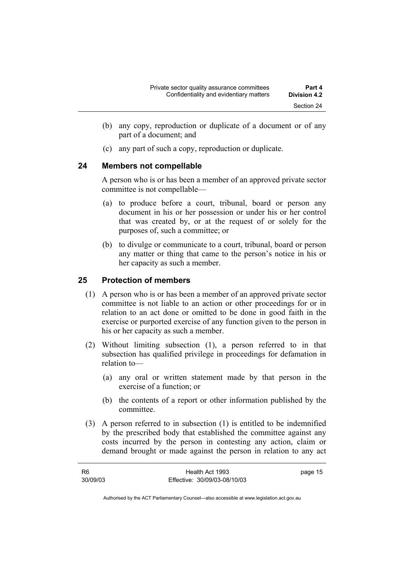- (b) any copy, reproduction or duplicate of a document or of any part of a document; and
- (c) any part of such a copy, reproduction or duplicate.

### **24 Members not compellable**

A person who is or has been a member of an approved private sector committee is not compellable—

- (a) to produce before a court, tribunal, board or person any document in his or her possession or under his or her control that was created by, or at the request of or solely for the purposes of, such a committee; or
- (b) to divulge or communicate to a court, tribunal, board or person any matter or thing that came to the person's notice in his or her capacity as such a member.

### **25 Protection of members**

- (1) A person who is or has been a member of an approved private sector committee is not liable to an action or other proceedings for or in relation to an act done or omitted to be done in good faith in the exercise or purported exercise of any function given to the person in his or her capacity as such a member.
- (2) Without limiting subsection (1), a person referred to in that subsection has qualified privilege in proceedings for defamation in relation to—
	- (a) any oral or written statement made by that person in the exercise of a function; or
	- (b) the contents of a report or other information published by the committee.
- (3) A person referred to in subsection (1) is entitled to be indemnified by the prescribed body that established the committee against any costs incurred by the person in contesting any action, claim or demand brought or made against the person in relation to any act

| - R6     | Health Act 1993              | page 15 |
|----------|------------------------------|---------|
| 30/09/03 | Effective: 30/09/03-08/10/03 |         |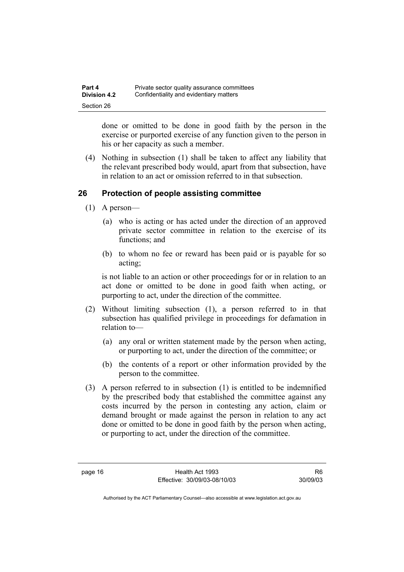| Part 4              | Private sector quality assurance committees |
|---------------------|---------------------------------------------|
| <b>Division 4.2</b> | Confidentiality and evidentiary matters     |
| Section 26          |                                             |

done or omitted to be done in good faith by the person in the exercise or purported exercise of any function given to the person in his or her capacity as such a member.

 (4) Nothing in subsection (1) shall be taken to affect any liability that the relevant prescribed body would, apart from that subsection, have in relation to an act or omission referred to in that subsection.

### **26 Protection of people assisting committee**

- (1) A person—
	- (a) who is acting or has acted under the direction of an approved private sector committee in relation to the exercise of its functions; and
	- (b) to whom no fee or reward has been paid or is payable for so acting;

is not liable to an action or other proceedings for or in relation to an act done or omitted to be done in good faith when acting, or purporting to act, under the direction of the committee.

- (2) Without limiting subsection (1), a person referred to in that subsection has qualified privilege in proceedings for defamation in relation to—
	- (a) any oral or written statement made by the person when acting, or purporting to act, under the direction of the committee; or
	- (b) the contents of a report or other information provided by the person to the committee.
- (3) A person referred to in subsection (1) is entitled to be indemnified by the prescribed body that established the committee against any costs incurred by the person in contesting any action, claim or demand brought or made against the person in relation to any act done or omitted to be done in good faith by the person when acting, or purporting to act, under the direction of the committee.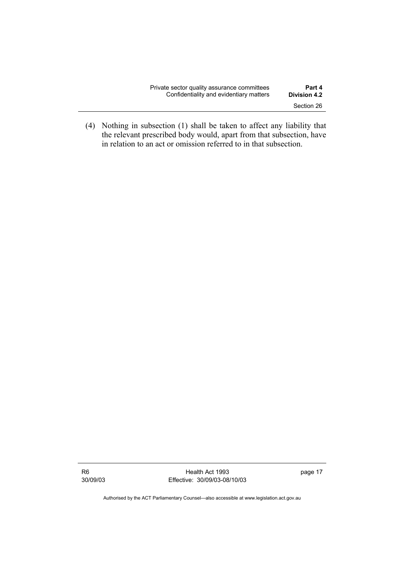| Private sector quality assurance committees | Part 4              |
|---------------------------------------------|---------------------|
| Confidentiality and evidentiary matters     | <b>Division 4.2</b> |
|                                             | Section 26          |

 (4) Nothing in subsection (1) shall be taken to affect any liability that the relevant prescribed body would, apart from that subsection, have in relation to an act or omission referred to in that subsection.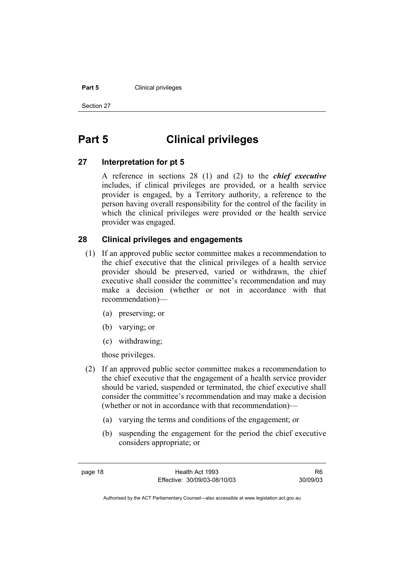#### **Part 5 Clinical privileges**

Section 27

# **Part 5 Clinical privileges**

# **27 Interpretation for pt 5**

A reference in sections 28 (1) and (2) to the *chief executive* includes, if clinical privileges are provided, or a health service provider is engaged, by a Territory authority, a reference to the person having overall responsibility for the control of the facility in which the clinical privileges were provided or the health service provider was engaged.

# **28 Clinical privileges and engagements**

- (1) If an approved public sector committee makes a recommendation to the chief executive that the clinical privileges of a health service provider should be preserved, varied or withdrawn, the chief executive shall consider the committee's recommendation and may make a decision (whether or not in accordance with that recommendation)—
	- (a) preserving; or
	- (b) varying; or
	- (c) withdrawing;

those privileges.

- (2) If an approved public sector committee makes a recommendation to the chief executive that the engagement of a health service provider should be varied, suspended or terminated, the chief executive shall consider the committee's recommendation and may make a decision (whether or not in accordance with that recommendation)—
	- (a) varying the terms and conditions of the engagement; or
	- (b) suspending the engagement for the period the chief executive considers appropriate; or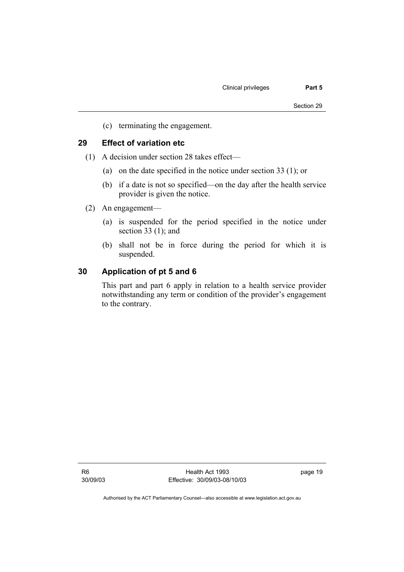(c) terminating the engagement.

# **29 Effect of variation etc**

- (1) A decision under section 28 takes effect—
	- (a) on the date specified in the notice under section 33 (1); or
	- (b) if a date is not so specified—on the day after the health service provider is given the notice.
- (2) An engagement—
	- (a) is suspended for the period specified in the notice under section 33 (1); and
	- (b) shall not be in force during the period for which it is suspended.

#### **30 Application of pt 5 and 6**

This part and part 6 apply in relation to a health service provider notwithstanding any term or condition of the provider's engagement to the contrary.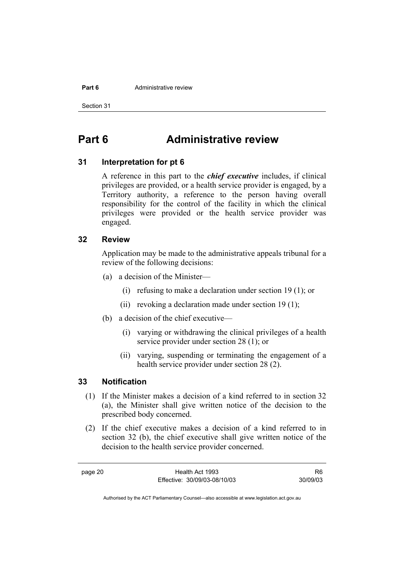#### **Part 6 Administrative review**

Section 31

# **Part 6 Administrative review**

#### **31 Interpretation for pt 6**

A reference in this part to the *chief executive* includes, if clinical privileges are provided, or a health service provider is engaged, by a Territory authority, a reference to the person having overall responsibility for the control of the facility in which the clinical privileges were provided or the health service provider was engaged.

#### **32 Review**

Application may be made to the administrative appeals tribunal for a review of the following decisions:

- (a) a decision of the Minister—
	- (i) refusing to make a declaration under section 19 (1); or
	- (ii) revoking a declaration made under section 19 (1);
- (b) a decision of the chief executive—
	- (i) varying or withdrawing the clinical privileges of a health service provider under section 28 (1); or
	- (ii) varying, suspending or terminating the engagement of a health service provider under section 28 (2).

#### **33 Notification**

- (1) If the Minister makes a decision of a kind referred to in section 32 (a), the Minister shall give written notice of the decision to the prescribed body concerned.
- (2) If the chief executive makes a decision of a kind referred to in section 32 (b), the chief executive shall give written notice of the decision to the health service provider concerned.

page 20 Health Act 1993 Effective: 30/09/03-08/10/03

R6 30/09/03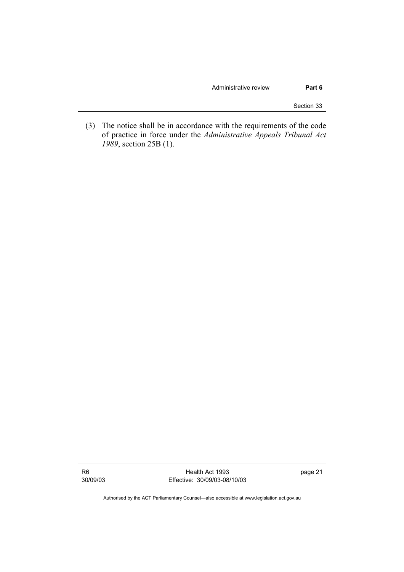#### Administrative review **Part 6**

Section 33

 (3) The notice shall be in accordance with the requirements of the code of practice in force under the *Administrative Appeals Tribunal Act 1989*, section 25B (1).

R6 30/09/03

Health Act 1993 Effective: 30/09/03-08/10/03 page 21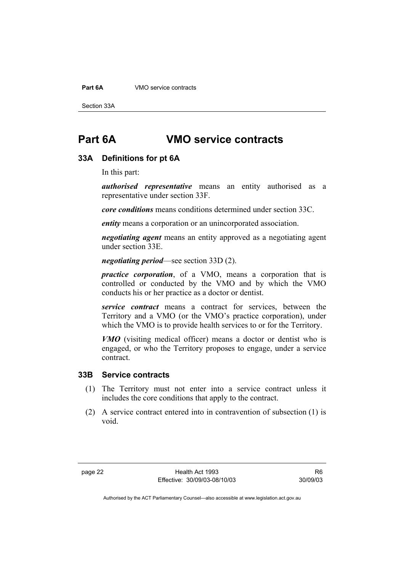**Part 6A VMO** service contracts

Section 33A

# **Part 6A VMO service contracts**

#### **33A Definitions for pt 6A**

In this part:

*authorised representative* means an entity authorised as a representative under section 33F.

*core conditions* means conditions determined under section 33C.

*entity* means a corporation or an unincorporated association.

*negotiating agent* means an entity approved as a negotiating agent under section 33E.

#### *negotiating period*—see section 33D (2).

*practice corporation*, of a VMO, means a corporation that is controlled or conducted by the VMO and by which the VMO conducts his or her practice as a doctor or dentist.

*service contract* means a contract for services, between the Territory and a VMO (or the VMO's practice corporation), under which the VMO is to provide health services to or for the Territory.

*VMO* (visiting medical officer) means a doctor or dentist who is engaged, or who the Territory proposes to engage, under a service contract.

### **33B Service contracts**

- (1) The Territory must not enter into a service contract unless it includes the core conditions that apply to the contract.
- (2) A service contract entered into in contravention of subsection (1) is void.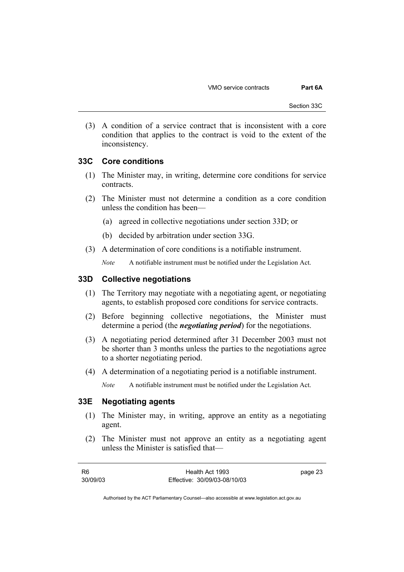VMO service contracts **Part 6A** 

 (3) A condition of a service contract that is inconsistent with a core condition that applies to the contract is void to the extent of the inconsistency.

#### **33C Core conditions**

- (1) The Minister may, in writing, determine core conditions for service contracts.
- (2) The Minister must not determine a condition as a core condition unless the condition has been—
	- (a) agreed in collective negotiations under section 33D; or
	- (b) decided by arbitration under section 33G.
- (3) A determination of core conditions is a notifiable instrument.

*Note* A notifiable instrument must be notified under the Legislation Act.

### **33D Collective negotiations**

- (1) The Territory may negotiate with a negotiating agent, or negotiating agents, to establish proposed core conditions for service contracts.
- (2) Before beginning collective negotiations, the Minister must determine a period (the *negotiating period*) for the negotiations.
- (3) A negotiating period determined after 31 December 2003 must not be shorter than 3 months unless the parties to the negotiations agree to a shorter negotiating period.
- (4) A determination of a negotiating period is a notifiable instrument.

*Note* A notifiable instrument must be notified under the Legislation Act.

# **33E Negotiating agents**

- (1) The Minister may, in writing, approve an entity as a negotiating agent.
- (2) The Minister must not approve an entity as a negotiating agent unless the Minister is satisfied that—

| R6       | Health Act 1993              | page 23 |
|----------|------------------------------|---------|
| 30/09/03 | Effective: 30/09/03-08/10/03 |         |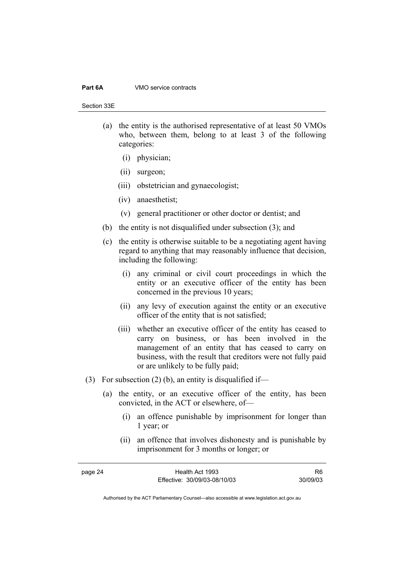#### **Part 6A VMO** service contracts

Section 33E

- (a) the entity is the authorised representative of at least 50 VMOs who, between them, belong to at least 3 of the following categories:
	- (i) physician;
	- (ii) surgeon;
	- (iii) obstetrician and gynaecologist;
	- (iv) anaesthetist;
	- (v) general practitioner or other doctor or dentist; and
- (b) the entity is not disqualified under subsection (3); and
- (c) the entity is otherwise suitable to be a negotiating agent having regard to anything that may reasonably influence that decision, including the following:
	- (i) any criminal or civil court proceedings in which the entity or an executive officer of the entity has been concerned in the previous 10 years;
	- (ii) any levy of execution against the entity or an executive officer of the entity that is not satisfied;
	- (iii) whether an executive officer of the entity has ceased to carry on business, or has been involved in the management of an entity that has ceased to carry on business, with the result that creditors were not fully paid or are unlikely to be fully paid;
- (3) For subsection (2) (b), an entity is disqualified if-
	- (a) the entity, or an executive officer of the entity, has been convicted, in the ACT or elsewhere, of—
		- (i) an offence punishable by imprisonment for longer than 1 year; or
		- (ii) an offence that involves dishonesty and is punishable by imprisonment for 3 months or longer; or

| page 24 | Health Act 1993              | R6       |
|---------|------------------------------|----------|
|         | Effective: 30/09/03-08/10/03 | 30/09/03 |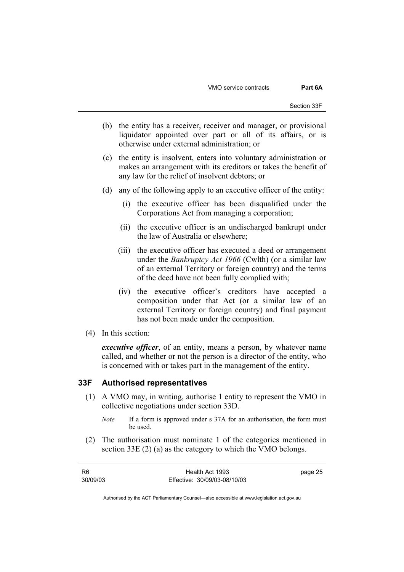VMO service contracts **Part 6A** 

- (b) the entity has a receiver, receiver and manager, or provisional liquidator appointed over part or all of its affairs, or is otherwise under external administration; or
- (c) the entity is insolvent, enters into voluntary administration or makes an arrangement with its creditors or takes the benefit of any law for the relief of insolvent debtors; or
- (d) any of the following apply to an executive officer of the entity:
	- (i) the executive officer has been disqualified under the Corporations Act from managing a corporation;
	- (ii) the executive officer is an undischarged bankrupt under the law of Australia or elsewhere;
	- (iii) the executive officer has executed a deed or arrangement under the *Bankruptcy Act 1966* (Cwlth) (or a similar law of an external Territory or foreign country) and the terms of the deed have not been fully complied with;
	- (iv) the executive officer's creditors have accepted a composition under that Act (or a similar law of an external Territory or foreign country) and final payment has not been made under the composition.
- (4) In this section:

*executive officer*, of an entity, means a person, by whatever name called, and whether or not the person is a director of the entity, who is concerned with or takes part in the management of the entity.

#### **33F Authorised representatives**

- (1) A VMO may, in writing, authorise 1 entity to represent the VMO in collective negotiations under section 33D.
	- *Note* If a form is approved under s 37A for an authorisation, the form must be used.
- (2) The authorisation must nominate 1 of the categories mentioned in section 33E (2) (a) as the category to which the VMO belongs.

| R6.      | Health Act 1993              | page 25 |
|----------|------------------------------|---------|
| 30/09/03 | Effective: 30/09/03-08/10/03 |         |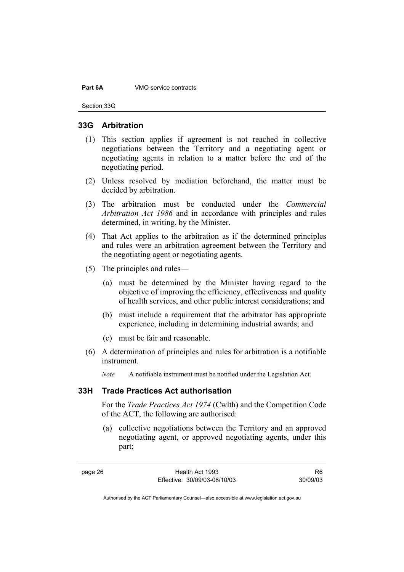#### **Part 6A VMO** service contracts

Section 33G

#### **33G Arbitration**

- (1) This section applies if agreement is not reached in collective negotiations between the Territory and a negotiating agent or negotiating agents in relation to a matter before the end of the negotiating period.
- (2) Unless resolved by mediation beforehand, the matter must be decided by arbitration.
- (3) The arbitration must be conducted under the *Commercial Arbitration Act 1986* and in accordance with principles and rules determined, in writing, by the Minister.
- (4) That Act applies to the arbitration as if the determined principles and rules were an arbitration agreement between the Territory and the negotiating agent or negotiating agents.
- (5) The principles and rules—
	- (a) must be determined by the Minister having regard to the objective of improving the efficiency, effectiveness and quality of health services, and other public interest considerations; and
	- (b) must include a requirement that the arbitrator has appropriate experience, including in determining industrial awards; and
	- (c) must be fair and reasonable.
- (6) A determination of principles and rules for arbitration is a notifiable instrument.

*Note* A notifiable instrument must be notified under the Legislation Act.

### **33H Trade Practices Act authorisation**

For the *Trade Practices Act 1974* (Cwlth) and the Competition Code of the ACT, the following are authorised:

 (a) collective negotiations between the Territory and an approved negotiating agent, or approved negotiating agents, under this part;

R6 30/09/03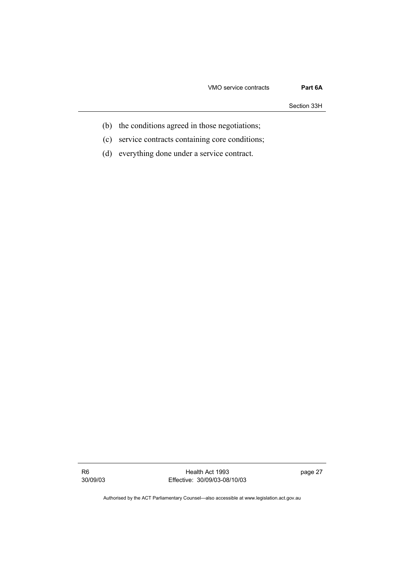#### VMO service contracts **Part 6A**

Section 33H

- (b) the conditions agreed in those negotiations;
- (c) service contracts containing core conditions;
- (d) everything done under a service contract.

R6 30/09/03

Health Act 1993 Effective: 30/09/03-08/10/03 page 27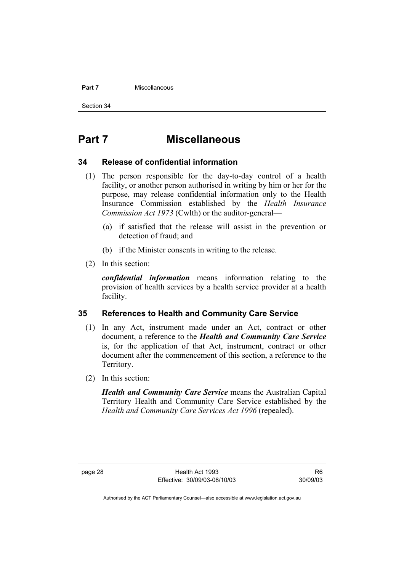#### **Part 7** Miscellaneous

Section 34

# **Part 7 Miscellaneous**

#### **34 Release of confidential information**

- (1) The person responsible for the day-to-day control of a health facility, or another person authorised in writing by him or her for the purpose, may release confidential information only to the Health Insurance Commission established by the *Health Insurance Commission Act 1973* (Cwlth) or the auditor-general—
	- (a) if satisfied that the release will assist in the prevention or detection of fraud; and
	- (b) if the Minister consents in writing to the release.
- (2) In this section:

*confidential information* means information relating to the provision of health services by a health service provider at a health facility.

### **35 References to Health and Community Care Service**

- (1) In any Act, instrument made under an Act, contract or other document, a reference to the *Health and Community Care Service* is, for the application of that Act, instrument, contract or other document after the commencement of this section, a reference to the Territory.
- (2) In this section:

*Health and Community Care Service* means the Australian Capital Territory Health and Community Care Service established by the *Health and Community Care Services Act 1996* (repealed).

R6 30/09/03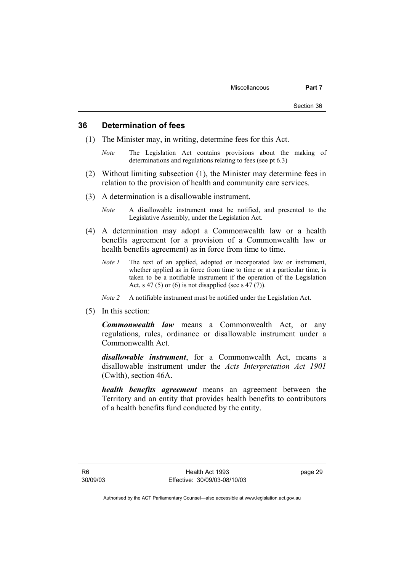### **36 Determination of fees**

- (1) The Minister may, in writing, determine fees for this Act.
	- *Note* The Legislation Act contains provisions about the making of determinations and regulations relating to fees (see pt 6.3)
- (2) Without limiting subsection (1), the Minister may determine fees in relation to the provision of health and community care services.
- (3) A determination is a disallowable instrument.
	- *Note* A disallowable instrument must be notified, and presented to the Legislative Assembly, under the Legislation Act.
- (4) A determination may adopt a Commonwealth law or a health benefits agreement (or a provision of a Commonwealth law or health benefits agreement) as in force from time to time.
	- *Note 1* The text of an applied, adopted or incorporated law or instrument, whether applied as in force from time to time or at a particular time, is taken to be a notifiable instrument if the operation of the Legislation Act, s 47 (5) or (6) is not disapplied (see s 47 (7)).
	- *Note 2* A notifiable instrument must be notified under the Legislation Act.
- (5) In this section:

*Commonwealth law* means a Commonwealth Act, or any regulations, rules, ordinance or disallowable instrument under a Commonwealth Act.

*disallowable instrument*, for a Commonwealth Act, means a disallowable instrument under the *Acts Interpretation Act 1901* (Cwlth), section 46A.

*health benefits agreement* means an agreement between the Territory and an entity that provides health benefits to contributors of a health benefits fund conducted by the entity.

page 29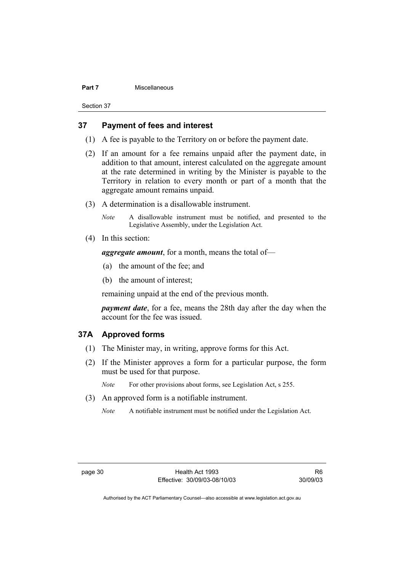#### **Part 7 Miscellaneous**

Section 37

# **37 Payment of fees and interest**

- (1) A fee is payable to the Territory on or before the payment date.
- (2) If an amount for a fee remains unpaid after the payment date, in addition to that amount, interest calculated on the aggregate amount at the rate determined in writing by the Minister is payable to the Territory in relation to every month or part of a month that the aggregate amount remains unpaid.
- (3) A determination is a disallowable instrument.

*Note* A disallowable instrument must be notified, and presented to the Legislative Assembly, under the Legislation Act.

(4) In this section:

*aggregate amount*, for a month, means the total of—

- (a) the amount of the fee; and
- (b) the amount of interest;

remaining unpaid at the end of the previous month.

*payment date*, for a fee, means the 28th day after the day when the account for the fee was issued.

# **37A Approved forms**

- (1) The Minister may, in writing, approve forms for this Act.
- (2) If the Minister approves a form for a particular purpose, the form must be used for that purpose.

*Note* For other provisions about forms, see Legislation Act, s 255.

- (3) An approved form is a notifiable instrument.
	- *Note* A notifiable instrument must be notified under the Legislation Act.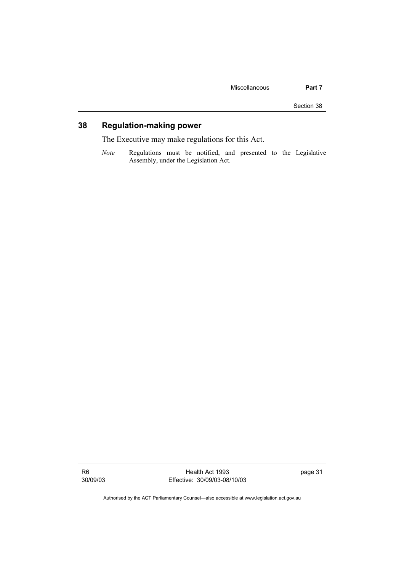Section 38

# **38 Regulation-making power**

The Executive may make regulations for this Act.

*Note* Regulations must be notified, and presented to the Legislative Assembly, under the Legislation Act.

R6 30/09/03

Health Act 1993 Effective: 30/09/03-08/10/03 page 31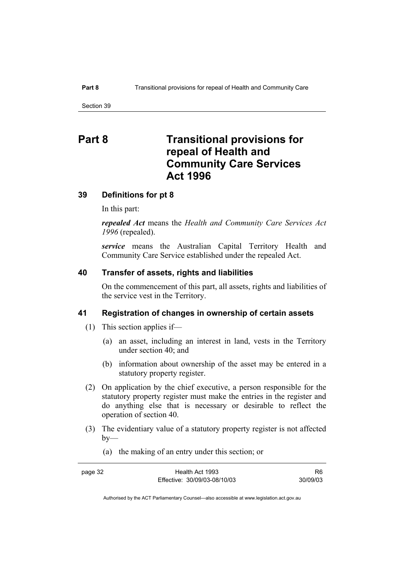# **Part 8 Transitional provisions for repeal of Health and Community Care Services Act 1996**

### **39 Definitions for pt 8**

In this part:

*repealed Act* means the *Health and Community Care Services Act 1996* (repealed).

*service* means the Australian Capital Territory Health and Community Care Service established under the repealed Act.

#### **40 Transfer of assets, rights and liabilities**

On the commencement of this part, all assets, rights and liabilities of the service vest in the Territory.

#### **41 Registration of changes in ownership of certain assets**

- (1) This section applies if—
	- (a) an asset, including an interest in land, vests in the Territory under section 40; and
	- (b) information about ownership of the asset may be entered in a statutory property register.
- (2) On application by the chief executive, a person responsible for the statutory property register must make the entries in the register and do anything else that is necessary or desirable to reflect the operation of section 40.
- (3) The evidentiary value of a statutory property register is not affected  $by-$ 
	- (a) the making of an entry under this section; or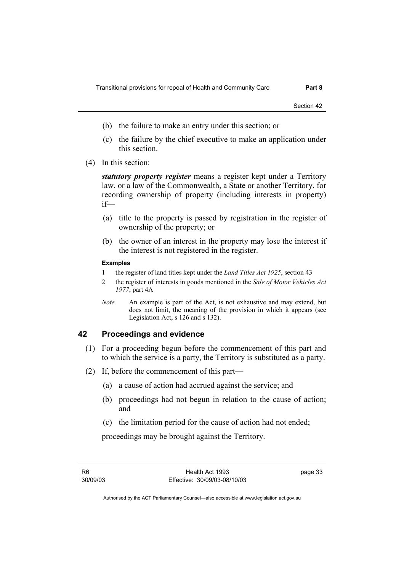Section 42

- (b) the failure to make an entry under this section; or
- (c) the failure by the chief executive to make an application under this section.
- (4) In this section:

*statutory property register* means a register kept under a Territory law, or a law of the Commonwealth, a State or another Territory, for recording ownership of property (including interests in property) if—

- (a) title to the property is passed by registration in the register of ownership of the property; or
- (b) the owner of an interest in the property may lose the interest if the interest is not registered in the register.

#### **Examples**

- 1 the register of land titles kept under the *Land Titles Act 1925*, section 43
- 2 the register of interests in goods mentioned in the *Sale of Motor Vehicles Act 1977*, part 4A
- *Note* An example is part of the Act, is not exhaustive and may extend, but does not limit, the meaning of the provision in which it appears (see Legislation Act, s 126 and s 132).

### **42 Proceedings and evidence**

- (1) For a proceeding begun before the commencement of this part and to which the service is a party, the Territory is substituted as a party.
- (2) If, before the commencement of this part—
	- (a) a cause of action had accrued against the service; and
	- (b) proceedings had not begun in relation to the cause of action; and
	- (c) the limitation period for the cause of action had not ended;

proceedings may be brought against the Territory.

page 33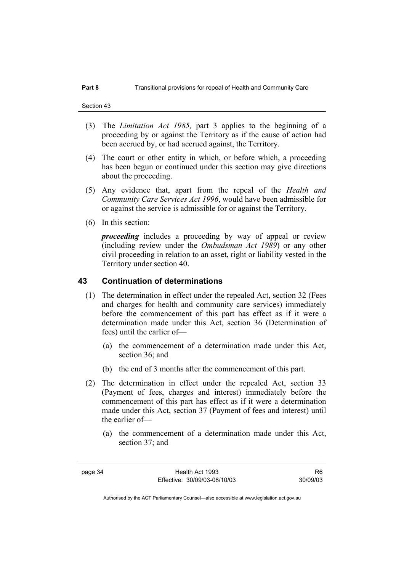- (3) The *Limitation Act 1985,* part 3 applies to the beginning of a proceeding by or against the Territory as if the cause of action had been accrued by, or had accrued against, the Territory.
- (4) The court or other entity in which, or before which, a proceeding has been begun or continued under this section may give directions about the proceeding.
- (5) Any evidence that, apart from the repeal of the *Health and Community Care Services Act 1996*, would have been admissible for or against the service is admissible for or against the Territory.
- (6) In this section:

*proceeding* includes a proceeding by way of appeal or review (including review under the *Ombudsman Act 1989*) or any other civil proceeding in relation to an asset, right or liability vested in the Territory under section 40.

#### **43 Continuation of determinations**

- (1) The determination in effect under the repealed Act, section 32 (Fees and charges for health and community care services) immediately before the commencement of this part has effect as if it were a determination made under this Act, section 36 (Determination of fees) until the earlier of—
	- (a) the commencement of a determination made under this Act, section 36; and
	- (b) the end of 3 months after the commencement of this part.
- (2) The determination in effect under the repealed Act, section 33 (Payment of fees, charges and interest) immediately before the commencement of this part has effect as if it were a determination made under this Act, section 37 (Payment of fees and interest) until the earlier of—
	- (a) the commencement of a determination made under this Act, section 37; and

R6 30/09/03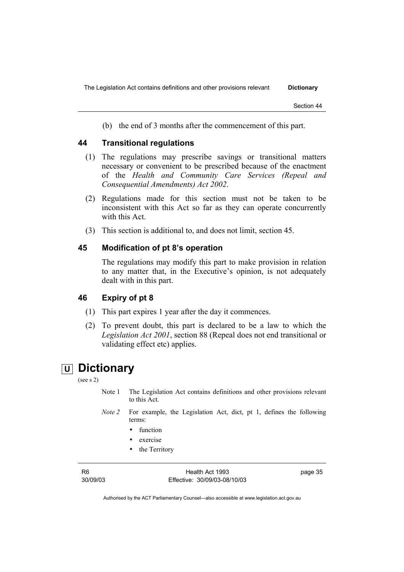(b) the end of 3 months after the commencement of this part.

#### **44 Transitional regulations**

- (1) The regulations may prescribe savings or transitional matters necessary or convenient to be prescribed because of the enactment of the *Health and Community Care Services (Repeal and Consequential Amendments) Act 2002*.
- (2) Regulations made for this section must not be taken to be inconsistent with this Act so far as they can operate concurrently with this Act.
- (3) This section is additional to, and does not limit, section 45.

#### **45 Modification of pt 8's operation**

The regulations may modify this part to make provision in relation to any matter that, in the Executive's opinion, is not adequately dealt with in this part.

#### **46 Expiry of pt 8**

- (1) This part expires 1 year after the day it commences.
- (2) To prevent doubt, this part is declared to be a law to which the *Legislation Act 2001*, section 88 (Repeal does not end transitional or validating effect etc) applies.

# *<u>U</u>* Dictionary

(see s 2)

- Note 1 The Legislation Act contains definitions and other provisions relevant to this Act.
- *Note 2* For example, the Legislation Act, dict, pt 1, defines the following terms:
	- function
	- exercise
	- the Territory

| RO       |  |
|----------|--|
| 30/09/03 |  |

 $R<sub>0</sub>$ 

Health Act 1993 Effective: 30/09/03-08/10/03 page 35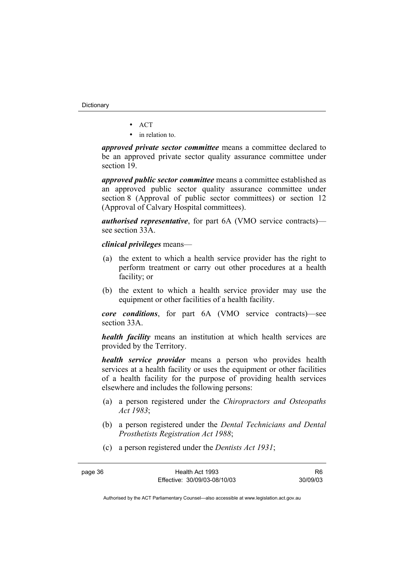- ACT
- in relation to.

*approved private sector committee* means a committee declared to be an approved private sector quality assurance committee under section 19.

*approved public sector committee* means a committee established as an approved public sector quality assurance committee under section 8 (Approval of public sector committees) or section 12 (Approval of Calvary Hospital committees).

*authorised representative*, for part 6A (VMO service contracts) see section 33A.

*clinical privileges* means—

- (a) the extent to which a health service provider has the right to perform treatment or carry out other procedures at a health facility; or
- (b) the extent to which a health service provider may use the equipment or other facilities of a health facility.

*core conditions*, for part 6A (VMO service contracts)—see section 33A.

*health facility* means an institution at which health services are provided by the Territory.

*health service provider* means a person who provides health services at a health facility or uses the equipment or other facilities of a health facility for the purpose of providing health services elsewhere and includes the following persons:

- (a) a person registered under the *Chiropractors and Osteopaths Act 1983*;
- (b) a person registered under the *Dental Technicians and Dental Prosthetists Registration Act 1988*;
- (c) a person registered under the *Dentists Act 1931*;

R6 30/09/03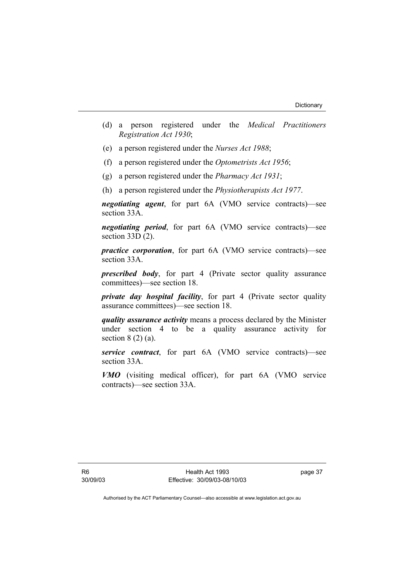- (d) a person registered under the *Medical Practitioners Registration Act 1930*;
- (e) a person registered under the *Nurses Act 1988*;
- (f) a person registered under the *Optometrists Act 1956*;
- (g) a person registered under the *Pharmacy Act 1931*;
- (h) a person registered under the *Physiotherapists Act 1977*.

*negotiating agent*, for part 6A (VMO service contracts)—see section 33A.

*negotiating period*, for part 6A (VMO service contracts)—see section 33D (2).

*practice corporation*, for part 6A (VMO service contracts)—see section 33A.

*prescribed body*, for part 4 (Private sector quality assurance committees)—see section 18.

*private day hospital facility*, for part 4 (Private sector quality assurance committees)—see section 18.

*quality assurance activity* means a process declared by the Minister under section 4 to be a quality assurance activity for section  $8(2)(a)$ .

*service contract*, for part 6A (VMO service contracts)—see section 33A.

*VMO* (visiting medical officer), for part 6A (VMO service contracts)—see section 33A.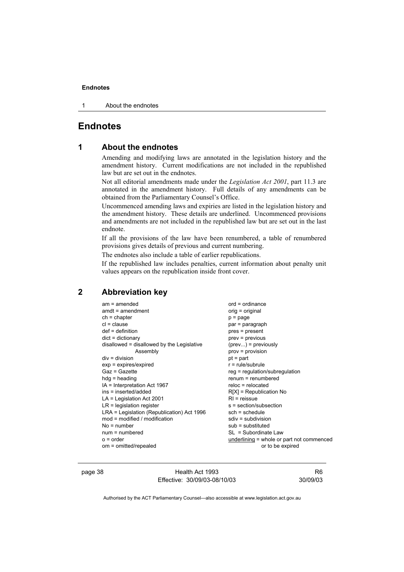1 About the endnotes

# **Endnotes**

#### **1 About the endnotes**

Amending and modifying laws are annotated in the legislation history and the amendment history. Current modifications are not included in the republished law but are set out in the endnotes.

Not all editorial amendments made under the *Legislation Act 2001*, part 11.3 are annotated in the amendment history. Full details of any amendments can be obtained from the Parliamentary Counsel's Office.

Uncommenced amending laws and expiries are listed in the legislation history and the amendment history. These details are underlined. Uncommenced provisions and amendments are not included in the republished law but are set out in the last endnote.

If all the provisions of the law have been renumbered, a table of renumbered provisions gives details of previous and current numbering.

The endnotes also include a table of earlier republications.

If the republished law includes penalties, current information about penalty unit values appears on the republication inside front cover.

#### **2 Abbreviation key**

| am = amended                               |
|--------------------------------------------|
| amdt = amendment                           |
| $ch = chapter$                             |
| $cl = clause$                              |
| $def = definition$                         |
| $dict = dictionary$                        |
| disallowed = disallowed by the Legislative |
| Assembly                                   |
| div = division                             |
| $exp = expires/expired$                    |
| Gaz = Gazette                              |
| hdg = heading                              |
| IA = Interpretation Act 1967               |
| ins = inserted/added                       |
| $LA =$ Legislation Act 2001                |
| $LR =$ legislation register                |
| LRA = Legislation (Republication) Act 1996 |
| mod = modified / modification              |
| $No = number$                              |
| $num = numbered$                           |
| $o = order$                                |
| om = omitted/repealed                      |

 $ord = ordinance$  $oria = original$  $p = page$  $par = *para* graph$ pres = present  $\text{prev} = \text{previous}$  $(\text{prev...})$  = previously  $prov = provision$  $pt = part$  $r = rule/subrule$  $reg = regulation/subregulation$  $renum = renumbered$  $reloc =$  relocated  $R[X]$  = Republication No  $RI$  = reissue s = section/subsection  $sch = schedule$  $sdiv = subdivision$  $sub =$  substituted  $SL = Subordinate$  Law  $underlining = whole or part not commenced$ or to be expired

page 38 Health Act 1993 Effective: 30/09/03-08/10/03

R6 30/09/03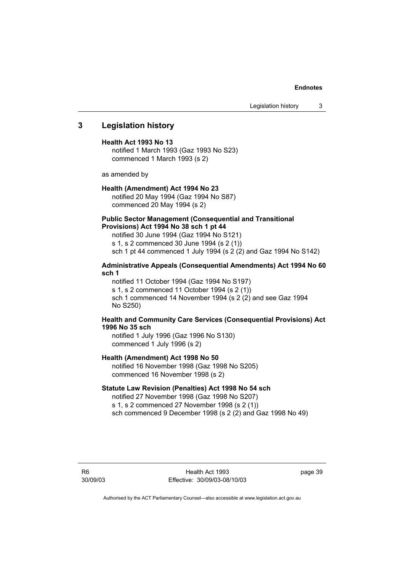### **3 Legislation history**

#### **Health Act 1993 No 13**

notified 1 March 1993 (Gaz 1993 No S23) commenced 1 March 1993 (s 2)

as amended by

#### **Health (Amendment) Act 1994 No 23**

notified 20 May 1994 (Gaz 1994 No S87) commenced 20 May 1994 (s 2)

#### **Public Sector Management (Consequential and Transitional Provisions) Act 1994 No 38 sch 1 pt 44**

notified 30 June 1994 (Gaz 1994 No S121)

s 1, s 2 commenced 30 June 1994 (s 2 (1))

sch 1 pt 44 commenced 1 July 1994 (s 2 (2) and Gaz 1994 No S142)

#### **Administrative Appeals (Consequential Amendments) Act 1994 No 60 sch 1**

notified 11 October 1994 (Gaz 1994 No S197) s 1, s 2 commenced 11 October 1994 (s 2 (1)) sch 1 commenced 14 November 1994 (s 2 (2) and see Gaz 1994 No S250)

#### **Health and Community Care Services (Consequential Provisions) Act 1996 No 35 sch**

notified 1 July 1996 (Gaz 1996 No S130) commenced 1 July 1996 (s 2)

#### **Health (Amendment) Act 1998 No 50**

notified 16 November 1998 (Gaz 1998 No S205) commenced 16 November 1998 (s 2)

#### **Statute Law Revision (Penalties) Act 1998 No 54 sch**

notified 27 November 1998 (Gaz 1998 No S207) s 1, s 2 commenced 27 November 1998 (s 2 (1)) sch commenced 9 December 1998 (s 2 (2) and Gaz 1998 No 49)

R6 30/09/03 page 39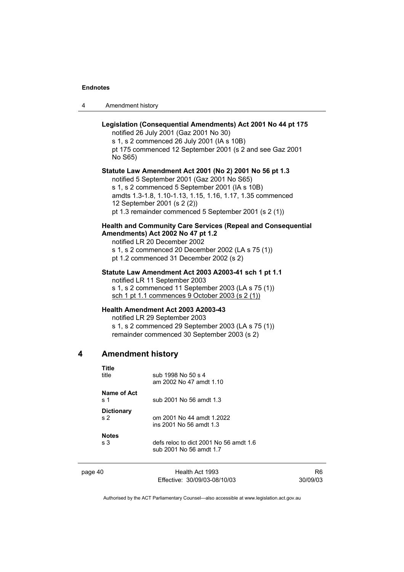| 4 | Amendment history |  |
|---|-------------------|--|
|---|-------------------|--|

### **Legislation (Consequential Amendments) Act 2001 No 44 pt 175**  notified 26 July 2001 (Gaz 2001 No 30) s 1, s 2 commenced 26 July 2001 (IA s 10B)

pt 175 commenced 12 September 2001 (s 2 and see Gaz 2001 No S65)

#### **Statute Law Amendment Act 2001 (No 2) 2001 No 56 pt 1.3**

notified 5 September 2001 (Gaz 2001 No S65) s 1, s 2 commenced 5 September 2001 (IA s 10B) amdts 1.3-1.8, 1.10-1.13, 1.15, 1.16, 1.17, 1.35 commenced 12 September 2001 (s 2 (2)) pt 1.3 remainder commenced 5 September 2001 (s 2 (1))

#### **Health and Community Care Services (Repeal and Consequential Amendments) Act 2002 No 47 pt 1.2**

notified LR 20 December 2002

s 1, s 2 commenced 20 December 2002 (LA s 75 (1))

pt 1.2 commenced 31 December 2002 (s 2)

#### **Statute Law Amendment Act 2003 A2003-41 sch 1 pt 1.1**  notified LR 11 September 2003

s 1, s 2 commenced 11 September 2003 (LA s 75 (1)) sch 1 pt 1.1 commences 9 October 2003 (s 2 (1))

#### **Health Amendment Act 2003 A2003-43**

notified LR 29 September 2003 s 1, s 2 commenced 29 September 2003 (LA s 75 (1)) remainder commenced 30 September 2003 (s 2)

#### **4 Amendment history**

| Title              | sub 1998 No 50 s 4                     |
|--------------------|----------------------------------------|
| title              | am 2002 No 47 amdt 1.10                |
| Name of Act<br>s 1 | sub 2001 No 56 amdt 1.3                |
| <b>Dictionary</b>  | om 2001 No 44 amdt 1.2022              |
| s <sub>2</sub>     | ins 2001 No 56 amdt 1.3                |
| <b>Notes</b>       | defs reloc to dict 2001 No 56 amdt 1.6 |
| s 3                | sub 2001 No 56 amdt 1.7                |

| page 40 | Health Act 1993              | R6       |
|---------|------------------------------|----------|
|         | Effective: 30/09/03-08/10/03 | 30/09/03 |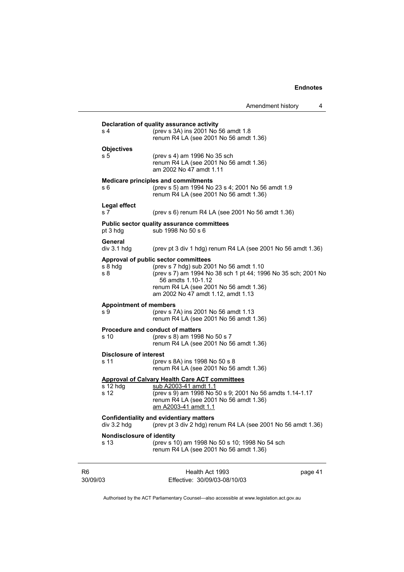|                                          | Amendment history                                                                                                                                                                                                                                      | 4       |
|------------------------------------------|--------------------------------------------------------------------------------------------------------------------------------------------------------------------------------------------------------------------------------------------------------|---------|
| s 4                                      | Declaration of quality assurance activity<br>(prev s 3A) ins 2001 No 56 amdt 1.8<br>renum R4 LA (see 2001 No 56 amdt 1.36)                                                                                                                             |         |
| <b>Objectives</b><br>s 5                 | (prev s 4) am 1996 No 35 sch<br>renum R4 LA (see 2001 No 56 amdt 1.36)<br>am 2002 No 47 amdt 1.11                                                                                                                                                      |         |
| s 6                                      | <b>Medicare principles and commitments</b><br>(prev s 5) am 1994 No 23 s 4; 2001 No 56 amdt 1.9<br>renum R4 LA (see 2001 No 56 amdt 1.36)                                                                                                              |         |
| <b>Legal effect</b><br>s 7               | (prev s 6) renum R4 LA (see 2001 No 56 amdt 1.36)                                                                                                                                                                                                      |         |
| pt 3 hdg                                 | Public sector quality assurance committees<br>sub 1998 No 50 s 6                                                                                                                                                                                       |         |
| General<br>div 3.1 hdg                   | (prev pt 3 div 1 hdg) renum R4 LA (see 2001 No 56 amdt 1.36)                                                                                                                                                                                           |         |
| s 8 hdg<br>s 8                           | Approval of public sector committees<br>(prev s 7 hdg) sub 2001 No 56 amdt 1.10<br>(prev s 7) am 1994 No 38 sch 1 pt 44; 1996 No 35 sch; 2001 No<br>56 amdts 1.10-1.12<br>renum R4 LA (see 2001 No 56 amdt 1.36)<br>am 2002 No 47 amdt 1.12, amdt 1.13 |         |
| <b>Appointment of members</b><br>s 9     | (prev s 7A) ins 2001 No 56 amdt 1.13<br>renum R4 LA (see 2001 No 56 amdt 1.36)                                                                                                                                                                         |         |
| s 10                                     | <b>Procedure and conduct of matters</b><br>(prev s 8) am 1998 No 50 s 7<br>renum R4 LA (see 2001 No 56 amdt 1.36)                                                                                                                                      |         |
| <b>Disclosure of interest</b><br>s 11    | (prev s 8A) ins 1998 No 50 s 8<br>renum R4 LA (see 2001 No 56 amdt 1.36)                                                                                                                                                                               |         |
| $\overline{s}$ 12 hdg<br>s 12            | <b>Approval of Calvary Health Care ACT committees</b><br>sub A2003-41 amdt 1.1<br>(prev s 9) am 1998 No 50 s 9; 2001 No 56 amdts 1.14-1.17<br>renum R4 LA (see 2001 No 56 amdt 1.36)<br>am A2003-41 amdt 1.1                                           |         |
| div 3.2 hdg                              | <b>Confidentiality and evidentiary matters</b><br>(prev pt 3 div 2 hdg) renum R4 LA (see 2001 No 56 amdt 1.36)                                                                                                                                         |         |
| <b>Nondisclosure of identity</b><br>s 13 | (prev s 10) am 1998 No 50 s 10; 1998 No 54 sch<br>renum R4 LA (see 2001 No 56 amdt 1.36)                                                                                                                                                               |         |
| R <sub>6</sub><br>30/09/03               | Health Act 1993<br>Effective: 30/09/03-08/10/03                                                                                                                                                                                                        | page 41 |

Authorised by the ACT Parliamentary Counsel—also accessible at www.legislation.act.gov.au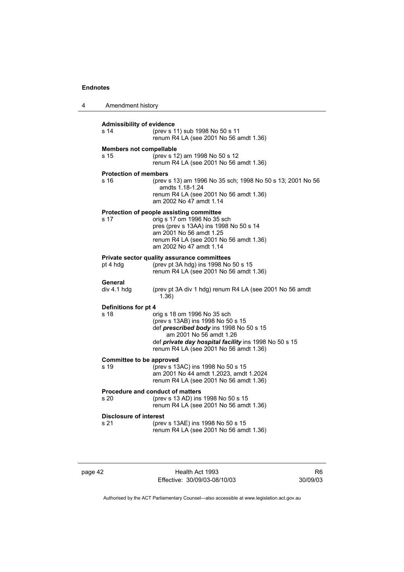| 4 | Amendment history                        |                                                                                                                                                                                                                                           |
|---|------------------------------------------|-------------------------------------------------------------------------------------------------------------------------------------------------------------------------------------------------------------------------------------------|
|   | <b>Admissibility of evidence</b><br>s 14 | (prev s 11) sub 1998 No 50 s 11<br>renum R4 LA (see 2001 No 56 amdt 1.36)                                                                                                                                                                 |
|   | <b>Members not compellable</b><br>s 15   | (prev s 12) am 1998 No 50 s 12<br>renum R4 LA (see 2001 No 56 amdt 1.36)                                                                                                                                                                  |
|   | <b>Protection of members</b><br>s 16     | (prev s 13) am 1996 No 35 sch; 1998 No 50 s 13; 2001 No 56<br>amdts 1.18-1.24<br>renum R4 LA (see 2001 No 56 amdt 1.36)<br>am 2002 No 47 amdt 1.14                                                                                        |
|   | s 17                                     | Protection of people assisting committee<br>orig s 17 om 1996 No 35 sch<br>pres (prev s 13AA) ins 1998 No 50 s 14<br>am 2001 No 56 amdt 1.25<br>renum R4 LA (see 2001 No 56 amdt 1.36)<br>am 2002 No 47 amdt 1.14                         |
|   | pt 4 hdg                                 | Private sector quality assurance committees<br>(prev pt 3A hdg) ins 1998 No 50 s 15<br>renum R4 LA (see 2001 No 56 amdt 1.36)                                                                                                             |
|   | General<br>div 4.1 hdg                   | (prev pt 3A div 1 hdg) renum R4 LA (see 2001 No 56 amdt<br>1.36)                                                                                                                                                                          |
|   | Definitions for pt 4<br>s 18             | orig s 18 om 1996 No 35 sch<br>(prev s 13AB) ins 1998 No 50 s 15<br>def prescribed body ins 1998 No 50 s 15<br>am 2001 No 56 amdt 1.26<br>def private day hospital facility ins 1998 No 50 s 15<br>renum R4 LA (see 2001 No 56 amdt 1.36) |
|   | <b>Committee to be approved</b><br>s 19  | (prev s 13AC) ins 1998 No 50 s 15<br>am 2001 No 44 amdt 1.2023, amdt 1.2024<br>renum R4 LA (see 2001 No 56 amdt 1.36)                                                                                                                     |
|   | s 20                                     | <b>Procedure and conduct of matters</b><br>(prev s 13 AD) ins 1998 No 50 s 15<br>renum R4 LA (see 2001 No 56 amdt 1.36)                                                                                                                   |
|   | <b>Disclosure of interest</b><br>s 21    | (prev s 13AE) ins 1998 No 50 s 15<br>renum R4 LA (see 2001 No 56 amdt 1.36)                                                                                                                                                               |

page 42 Health Act 1993 Effective: 30/09/03-08/10/03

R6 30/09/03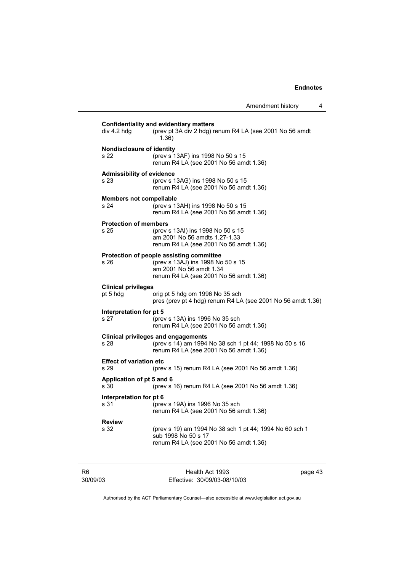| Amendment history |  |
|-------------------|--|
|-------------------|--|

| div 4.2 hdg                              | <b>Confidentiality and evidentiary matters</b><br>(prev pt 3A div 2 hdg) renum R4 LA (see 2001 No 56 amdt<br>1.36)                                 |         |
|------------------------------------------|----------------------------------------------------------------------------------------------------------------------------------------------------|---------|
| Nondisclosure of identity<br>s 22        | (prev s 13AF) ins 1998 No 50 s 15<br>renum R4 LA (see 2001 No 56 amdt 1.36)                                                                        |         |
| <b>Admissibility of evidence</b><br>s 23 | (prev s 13AG) ins 1998 No 50 s 15<br>renum R4 LA (see 2001 No 56 amdt 1.36)                                                                        |         |
| <b>Members not compellable</b><br>s 24   | (prev s 13AH) ins 1998 No 50 s 15<br>renum R4 LA (see 2001 No 56 amdt 1.36)                                                                        |         |
| <b>Protection of members</b><br>s 25     | (prev s 13AI) ins 1998 No 50 s 15<br>am 2001 No 56 amdts 1.27-1.33<br>renum R4 LA (see 2001 No 56 amdt 1.36)                                       |         |
| s 26                                     | Protection of people assisting committee<br>(prev s 13AJ) ins 1998 No 50 s 15<br>am 2001 No 56 amdt 1.34<br>renum R4 LA (see 2001 No 56 amdt 1.36) |         |
| <b>Clinical privileges</b><br>pt 5 hdg   | orig pt 5 hdg om 1996 No 35 sch<br>pres (prev pt 4 hdg) renum R4 LA (see 2001 No 56 amdt 1.36)                                                     |         |
| Interpretation for pt 5<br>s 27          | (prev s 13A) ins 1996 No 35 sch<br>renum R4 LA (see 2001 No 56 amdt 1.36)                                                                          |         |
| s 28                                     | <b>Clinical privileges and engagements</b><br>(prev s 14) am 1994 No 38 sch 1 pt 44; 1998 No 50 s 16<br>renum R4 LA (see 2001 No 56 amdt 1.36)     |         |
| <b>Effect of variation etc</b><br>s 29   | (prev s 15) renum R4 LA (see 2001 No 56 amdt 1.36)                                                                                                 |         |
| Application of pt 5 and 6<br>s 30        | (prev s 16) renum R4 LA (see 2001 No 56 amdt 1.36)                                                                                                 |         |
| Interpretation for pt 6<br>s 31          | (prev s 19A) ins 1996 No 35 sch<br>renum R4 LA (see 2001 No 56 amdt 1.36)                                                                          |         |
| <b>Review</b><br>s 32                    | (prev s 19) am 1994 No 38 sch 1 pt 44; 1994 No 60 sch 1<br>sub 1998 No 50 s 17<br>renum R4 LA (see 2001 No 56 amdt 1.36)                           |         |
|                                          | Health Act 1993                                                                                                                                    | page 43 |

30/09/03

R6

Effective: 30/09/03-08/10/03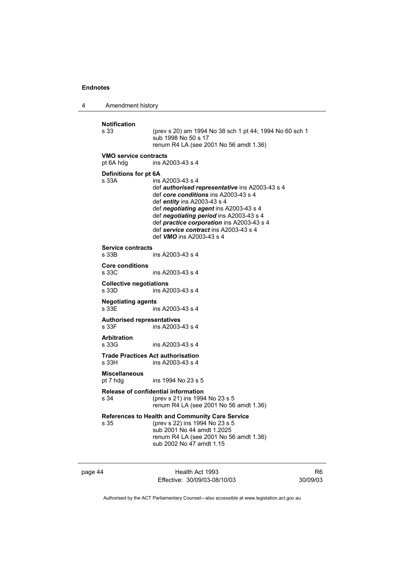| 4 | Amendment history                                             |                                                                                                                                                                                                                                                                                                                                                         |  |  |
|---|---------------------------------------------------------------|---------------------------------------------------------------------------------------------------------------------------------------------------------------------------------------------------------------------------------------------------------------------------------------------------------------------------------------------------------|--|--|
|   | <b>Notification</b><br>s 33                                   | (prev s 20) am 1994 No 38 sch 1 pt 44; 1994 No 60 sch 1<br>sub 1998 No 50 s 17<br>renum R4 LA (see 2001 No 56 amdt 1.36)                                                                                                                                                                                                                                |  |  |
|   | <b>VMO service contracts</b><br>pt 6A hdg<br>ins A2003-43 s 4 |                                                                                                                                                                                                                                                                                                                                                         |  |  |
|   | Definitions for pt 6A<br>s 33A                                | ins A2003-43 s 4<br>def authorised representative ins A2003-43 s 4<br>def core conditions ins A2003-43 s 4<br>def entity ins A2003-43 s 4<br>def negotiating agent ins A2003-43 s 4<br>def negotiating period ins A2003-43 s 4<br>def practice corporation ins A2003-43 s 4<br>def service contract ins A2003-43 s 4<br>def <b>VMO</b> ins A2003-43 s 4 |  |  |
|   | <b>Service contracts</b><br>s 33B                             | ins A2003-43 s 4                                                                                                                                                                                                                                                                                                                                        |  |  |
|   | <b>Core conditions</b><br>s 33C                               | ins A2003-43 s 4                                                                                                                                                                                                                                                                                                                                        |  |  |
|   | <b>Collective negotiations</b><br>s 33D                       | ins A2003-43 s 4                                                                                                                                                                                                                                                                                                                                        |  |  |
|   | <b>Negotiating agents</b><br>s 33E                            | ins A2003-43 s 4                                                                                                                                                                                                                                                                                                                                        |  |  |
|   | <b>Authorised representatives</b><br>s 33F                    | ins A2003-43 s 4                                                                                                                                                                                                                                                                                                                                        |  |  |
|   | <b>Arbitration</b><br>s 33G                                   | ins A2003-43 s 4                                                                                                                                                                                                                                                                                                                                        |  |  |
|   | s 33H                                                         | <b>Trade Practices Act authorisation</b><br>ins A2003-43 s 4                                                                                                                                                                                                                                                                                            |  |  |
|   | <b>Miscellaneous</b><br>pt 7 hdg                              | ins 1994 No 23 s 5                                                                                                                                                                                                                                                                                                                                      |  |  |
|   | s 34                                                          | Release of confidential information<br>(prev s 21) ins 1994 No 23 s 5<br>renum R4 LA (see 2001 No 56 amdt 1.36)                                                                                                                                                                                                                                         |  |  |
|   | s 35                                                          | References to Health and Community Care Service<br>(prev s 22) ins 1994 No 23 s 5<br>sub 2001 No 44 amdt 1.2025<br>renum R4 LA (see 2001 No 56 amdt 1.36)<br>sub 2002 No 47 amdt 1.15                                                                                                                                                                   |  |  |

page 44 Health Act 1993 Effective: 30/09/03-08/10/03

R6 30/09/03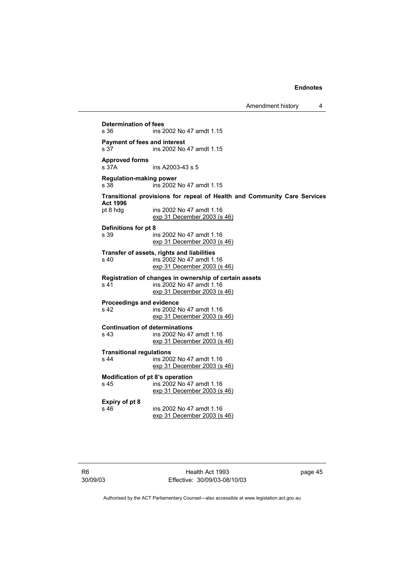Amendment history 4

**Determination of fees**  s 36 ins 2002 No 47 amdt 1.15 **Payment of fees and interest**  s 37 ins 2002 No 47 amdt 1.15 **Approved forms**  s 37A ins A2003-43 s 5 **Regulation-making power**  s 38 ins 2002 No 47 amdt 1.15 **Transitional provisions for repeal of Health and Community Care Services Act 1996** pt 8 hdg ins 2002 No 47 amdt 1.16 exp 31 December 2003 (s 46) **Definitions for pt 8**  s 39 ins 2002 No 47 amdt 1.16 exp 31 December 2003 (s 46) **Transfer of assets, rights and liabilities**  ins 2002 No 47 amdt 1.16 exp 31 December 2003 (s 46) **Registration of changes in ownership of certain assets**  s 41 ins 2002 No 47 amdt 1.16 exp 31 December 2003 (s 46) **Proceedings and evidence**<br>s 42 **ins 2002** M ins 2002 No 47 amdt 1.16 exp 31 December 2003 (s 46) **Continuation of determinations**  s 43 ins 2002 No 47 amdt 1.16 exp 31 December 2003 (s 46) **Transitional regulations**  s 44 ins 2002 No 47 amdt 1.16 exp 31 December 2003 (s 46) **Modification of pt 8's operation**  ins 2002 No 47 amdt 1.16 exp 31 December 2003 (s 46) **Expiry of pt 8**  s 46 ins 2002 No 47 amdt 1.16 exp 31 December 2003 (s 46)

Health Act 1993 Effective: 30/09/03-08/10/03 page 45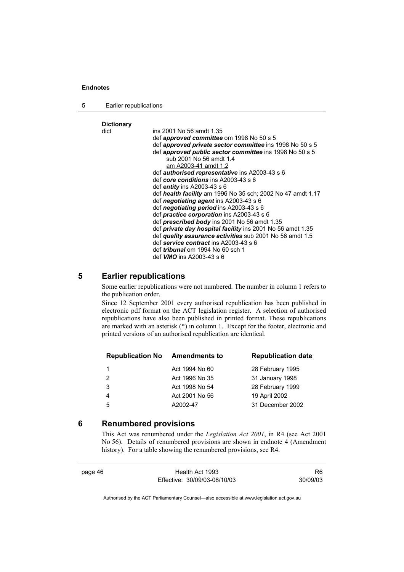5 Earlier republications

# **Dictionary**

```
ins 2001 No 56 amdt 1.35
def approved committee om 1998 No 50 s 5 
def approved private sector committee ins 1998 No 50 s 5 
def approved public sector committee ins 1998 No 50 s 5 
    sub 2001 No 56 amdt 1.4 
    am A2003-41 amdt 1.2
def authorised representative ins A2003-43 s 6 
def core conditions ins A2003-43 s 6 
def entity ins A2003-43 s 6 
def health facility am 1996 No 35 sch; 2002 No 47 amdt 1.17 
def negotiating agent ins A2003-43 s 6 
def negotiating period ins A2003-43 s 6 
def practice corporation ins A2003-43 s 6 
def prescribed body ins 2001 No 56 amdt 1.35 
def private day hospital facility ins 2001 No 56 amdt 1.35 
def quality assurance activities sub 2001 No 56 amdt 1.5 
def service contract ins A2003-43 s 6 
def tribunal om 1994 No 60 sch 1 
def VMO ins A2003-43 s 6
```
#### **5 Earlier republications**

Some earlier republications were not numbered. The number in column 1 refers to the publication order.

Since 12 September 2001 every authorised republication has been published in electronic pdf format on the ACT legislation register. A selection of authorised republications have also been published in printed format. These republications are marked with an asterisk (\*) in column 1. Except for the footer, electronic and printed versions of an authorised republication are identical.

| <b>Republication No</b> | <b>Amendments to</b> | <b>Republication date</b> |
|-------------------------|----------------------|---------------------------|
|                         | Act 1994 No 60       | 28 February 1995          |
| $\mathcal{P}$           | Act 1996 No 35       | 31 January 1998           |
| -3                      | Act 1998 No 54       | 28 February 1999          |
| 4                       | Act 2001 No 56       | 19 April 2002             |
| .5                      | A2002-47             | 31 December 2002          |
|                         |                      |                           |

#### **6 Renumbered provisions**

This Act was renumbered under the *Legislation Act 2001*, in R4 (see Act 2001 No 56). Details of renumbered provisions are shown in endnote 4 (Amendment history). For a table showing the renumbered provisions, see R4.

page 46 Health Act 1993 Effective: 30/09/03-08/10/03

R6 30/09/03